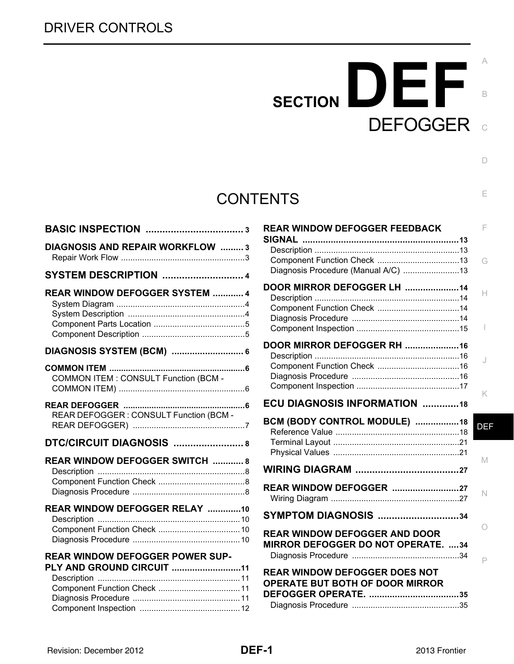# DEFOGGER o SECTION **DEF** B

 $\Box$ 

E

## **CONTENTS**

| DIAGNOSIS AND REPAIR WORKFLOW  3                             |
|--------------------------------------------------------------|
| SYSTEM DESCRIPTION  4                                        |
| <b>REAR WINDOW DEFOGGER SYSTEM  4</b>                        |
| DIAGNOSIS SYSTEM (BCM)  6                                    |
| <b>COMMON ITEM: CONSULT Function (BCM -</b>                  |
| REAR DEFOGGER: CONSULT Function (BCM -                       |
| DTC/CIRCUIT DIAGNOSIS                                        |
| REAR WINDOW DEFOGGER SWITCH  8                               |
| REAR WINDOW DEFOGGER RELAY 10                                |
| REAR WINDOW DEFOGGER POWER SUP-<br>PLY AND GROUND CIRCUIT 11 |

[Component Inspection .........................................](#page-11-0)..[12](#page-11-0)

| <b>REAR WINDOW DEFOGGER FEEDBACK</b><br>Diagnosis Procedure (Manual A/C) 13       | F<br>G     |
|-----------------------------------------------------------------------------------|------------|
| DOOR MIRROR DEFOGGER LH 14                                                        | н          |
| DOOR MIRROR DEFOGGER RH 16                                                        | J          |
| <b>ECU DIAGNOSIS INFORMATION 18</b>                                               | K          |
| BCM (BODY CONTROL MODULE) 18                                                      |            |
|                                                                                   | <b>DEF</b> |
|                                                                                   | М          |
| <b>REAR WINDOW DEFOGGER 27</b>                                                    | N          |
| <b>SYMPTOM DIAGNOSIS 34</b>                                                       |            |
| <b>REAR WINDOW DEFOGGER AND DOOR</b><br><b>MIRROR DEFOGGER DO NOT OPERATE. 34</b> | ∩<br>P     |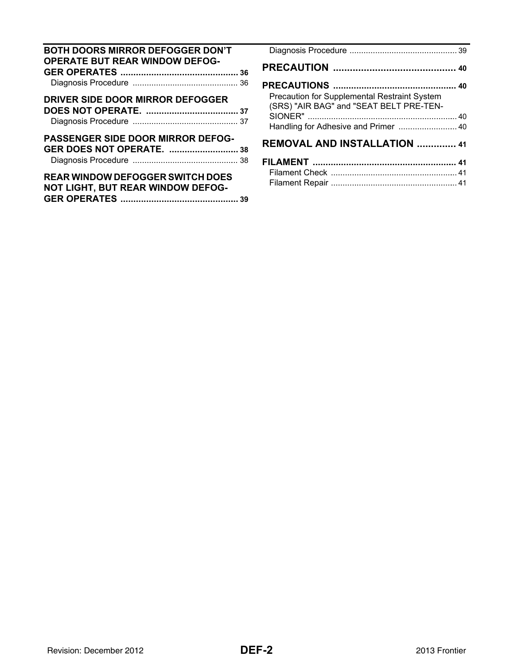| <b>BOTH DOORS MIRROR DEFOGGER DON'T</b><br><b>OPERATE BUT REAR WINDOW DEFOG-</b>    |  |
|-------------------------------------------------------------------------------------|--|
|                                                                                     |  |
|                                                                                     |  |
| DRIVER SIDE DOOR MIRROR DEFOGGER                                                    |  |
|                                                                                     |  |
|                                                                                     |  |
| <b>PASSENGER SIDE DOOR MIRROR DEFOG-</b>                                            |  |
| <b>REAR WINDOW DEFOGGER SWITCH DOES</b><br><b>NOT LIGHT, BUT REAR WINDOW DEFOG-</b> |  |

| Precaution for Supplemental Restraint System<br>(SRS) "AIR BAG" and "SEAT BELT PRE-TEN-<br>Handling for Adhesive and Primer  40 |  |
|---------------------------------------------------------------------------------------------------------------------------------|--|
| <b>REMOVAL AND INSTALLATION  41</b>                                                                                             |  |
|                                                                                                                                 |  |
|                                                                                                                                 |  |
|                                                                                                                                 |  |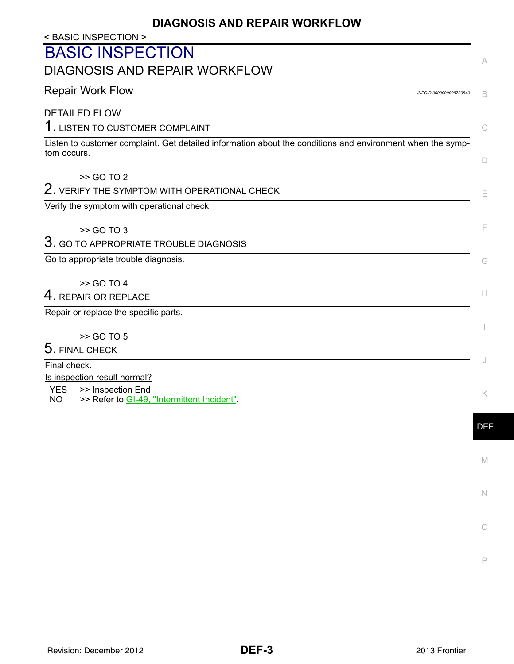## **DIAGNOSIS AND REPAIR WORKFLOW**

<span id="page-2-2"></span><span id="page-2-1"></span><span id="page-2-0"></span>

| < BASIC INSPECTION >                                                                                                      |            |
|---------------------------------------------------------------------------------------------------------------------------|------------|
| <b>BASIC INSPECTION</b>                                                                                                   |            |
| <b>DIAGNOSIS AND REPAIR WORKFLOW</b>                                                                                      | A          |
| <b>Repair Work Flow</b><br>INFOID:0000000008789540                                                                        | B          |
| <b>DETAILED FLOW</b>                                                                                                      |            |
| 1. LISTEN TO CUSTOMER COMPLAINT                                                                                           | C          |
| Listen to customer complaint. Get detailed information about the conditions and environment when the symp-<br>tom occurs. | D          |
| >> GO TO 2                                                                                                                |            |
| $2.$ VERIFY THE SYMPTOM WITH OPERATIONAL CHECK                                                                            | Е          |
| Verify the symptom with operational check.                                                                                |            |
| >> GO TO 3                                                                                                                | F          |
| $3.$ GO TO APPROPRIATE TROUBLE DIAGNOSIS                                                                                  |            |
| Go to appropriate trouble diagnosis.                                                                                      | G          |
| >> GO TO 4                                                                                                                |            |
| $4.$ REPAIR OR REPLACE                                                                                                    | Н.         |
| Repair or replace the specific parts.                                                                                     |            |
| >> GO TO 5                                                                                                                |            |
| 5. FINAL CHECK                                                                                                            |            |
| Final check.                                                                                                              |            |
| Is inspection result normal?                                                                                              |            |
| <b>YES</b><br>>> Inspection End<br>>> Refer to GI-49. "Intermittent Incident".<br>NO                                      | Κ          |
|                                                                                                                           |            |
|                                                                                                                           | <b>DEF</b> |
|                                                                                                                           |            |
|                                                                                                                           | M          |
|                                                                                                                           |            |

N

O

P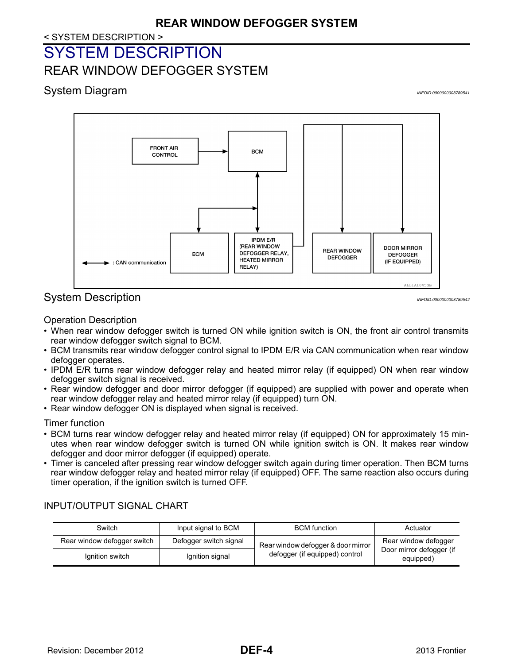### < SYSTEM DESCRIPTION >

## <span id="page-3-1"></span><span id="page-3-0"></span>SYSTEM DESCRIPTION REAR WINDOW DEFOGGER SYSTEM

### <span id="page-3-2"></span>System Diagram *INFOID:0000000008789541*



## <span id="page-3-3"></span>System Description *INFOID:000000008789542*

#### Operation Description

- When rear window defogger switch is turned ON while ignition switch is ON, the front air control transmits rear window defogger switch signal to BCM.
- BCM transmits rear window defogger control signal to IPDM E/R via CAN communication when rear window defogger operates.
- IPDM E/R turns rear window defogger relay and heated mirror relay (if equipped) ON when rear window defogger switch signal is received.
- Rear window defogger and door mirror defogger (if equipped) are supplied with power and operate when rear window defogger relay and heated mirror relay (if equipped) turn ON.
- Rear window defogger ON is displayed when signal is received.

Timer function

- BCM turns rear window defogger relay and heated mirror relay (if equipped) ON for approximately 15 minutes when rear window defogger switch is turned ON while ignition switch is ON. It makes rear window defogger and door mirror defogger (if equipped) operate.
- Timer is canceled after pressing rear window defogger switch again during timer operation. Then BCM turns rear window defogger relay and heated mirror relay (if equipped) OFF. The same reaction also occurs during timer operation, if the ignition switch is turned OFF.

### INPUT/OUTPUT SIGNAL CHART

| Input signal to BCM<br>Switch |                        | <b>BCM</b> function                | Actuator                              |  |
|-------------------------------|------------------------|------------------------------------|---------------------------------------|--|
| Rear window defogger switch   | Defogger switch signal | Rear window defogger & door mirror | Rear window defogger                  |  |
| Ignition switch               | Ignition signal        | defogger (if equipped) control     | Door mirror defogger (if<br>equipped) |  |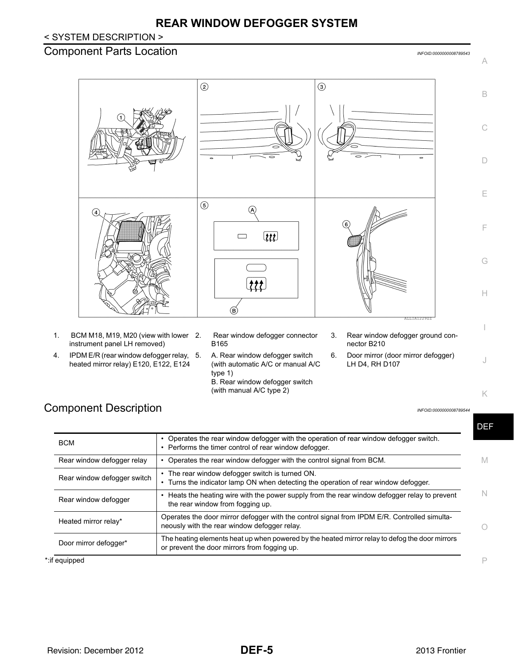## **REAR WINDOW DEFOGGER SYSTEM**

### < SYSTEM DESCRIPTION >

## <span id="page-4-0"></span>Component Parts Location *INFOID:000000008789543*



- 1. BCM M18, M19, M20 (view with lower instrument panel LH removed)
- 4. IPDM E/R (rear window defogger relay, 5. heated mirror relay) E120, E122, E124
- Rear window defogger connector B165
- A. Rear window defogger switch (with automatic A/C or manual A/C type 1) B. Rear window defogger switch (with manual A/C type 2)
- 3. Rear window defogger ground connector B210
- 6. Door mirror (door mirror defogger) LH D4, RH D107

K

DEF

J

## <span id="page-4-1"></span>Component Description *INFOID:0000000008789544*

| <b>BCM</b>                  | • Operates the rear window defogger with the operation of rear window defogger switch.<br>• Performs the timer control of rear window defogger. |
|-----------------------------|-------------------------------------------------------------------------------------------------------------------------------------------------|
| Rear window defogger relay  | • Operates the rear window defogger with the control signal from BCM.                                                                           |
| Rear window defogger switch | • The rear window defogger switch is turned ON.<br>• Turns the indicator lamp ON when detecting the operation of rear window defogger.          |
| Rear window defogger        | • Heats the heating wire with the power supply from the rear window defogger relay to prevent<br>the rear window from fogging up.               |
| Heated mirror relay*        | Operates the door mirror defogger with the control signal from IPDM E/R. Controlled simulta-<br>neously with the rear window defogger relay.    |
| Door mirror defogger*       | The heating elements heat up when powered by the heated mirror relay to defog the door mirrors<br>or prevent the door mirrors from fogging up.  |
| f equipped                  |                                                                                                                                                 |

\*:if equipped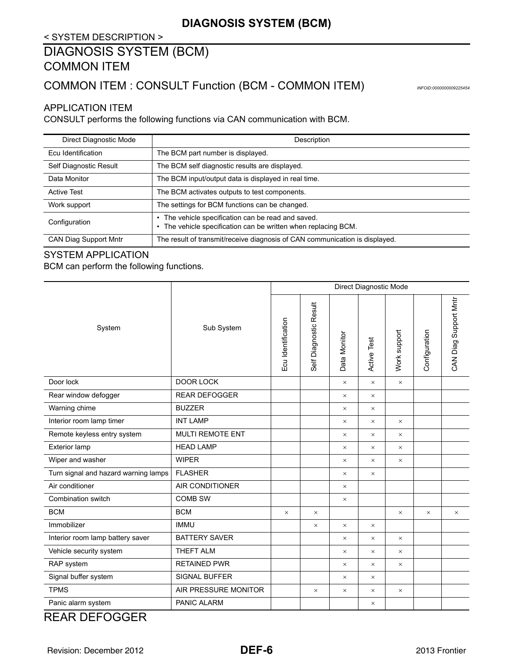### < SYSTEM DESCRIPTION >

## <span id="page-5-1"></span><span id="page-5-0"></span>DIAGNOSIS SYSTEM (BCM) COMMON ITEM

## <span id="page-5-2"></span>**COMMON ITEM : CONSULT Function (BCM - COMMON ITEM)** *INFOID:000000009225454*

### APPLICATION ITEM

CONSULT performs the following functions via CAN communication with BCM.

| Direct Diagnostic Mode | Description                                                                                                                   |  |  |
|------------------------|-------------------------------------------------------------------------------------------------------------------------------|--|--|
| Ecu Identification     | The BCM part number is displayed.                                                                                             |  |  |
| Self Diagnostic Result | The BCM self diagnostic results are displayed.                                                                                |  |  |
| Data Monitor           | The BCM input/output data is displayed in real time.                                                                          |  |  |
| <b>Active Test</b>     | The BCM activates outputs to test components.                                                                                 |  |  |
| Work support           | The settings for BCM functions can be changed.                                                                                |  |  |
| Configuration          | The vehicle specification can be read and saved.<br>The vehicle specification can be written when replacing BCM.<br>$\bullet$ |  |  |
| CAN Diag Support Mntr  | The result of transmit/receive diagnosis of CAN communication is displayed.                                                   |  |  |

#### SYSTEM APPLICATION BCM can perform the following functions.

|                                      |                         | Direct Diagnostic Mode |                        |              |             |              |               |                       |
|--------------------------------------|-------------------------|------------------------|------------------------|--------------|-------------|--------------|---------------|-----------------------|
| System                               | Sub System              | Ecu Identification     | Self Diagnostic Result | Data Monitor | Active Test | Work support | Configuration | CAN Diag Support Mntr |
| Door lock                            | <b>DOOR LOCK</b>        |                        |                        | $\times$     | $\times$    | $\times$     |               |                       |
| Rear window defogger                 | <b>REAR DEFOGGER</b>    |                        |                        | $\times$     | $\times$    |              |               |                       |
| Warning chime                        | <b>BUZZER</b>           |                        |                        | $\times$     | $\times$    |              |               |                       |
| Interior room lamp timer             | <b>INT LAMP</b>         |                        |                        | $\times$     | $\times$    | $\times$     |               |                       |
| Remote keyless entry system          | <b>MULTI REMOTE ENT</b> |                        |                        | $\times$     | $\times$    | $\times$     |               |                       |
| <b>Exterior lamp</b>                 | <b>HEAD LAMP</b>        |                        |                        | $\times$     | $\times$    | $\times$     |               |                       |
| Wiper and washer                     | <b>WIPER</b>            |                        |                        | $\times$     | $\times$    | $\times$     |               |                       |
| Turn signal and hazard warning lamps | <b>FLASHER</b>          |                        |                        | $\times$     | $\times$    |              |               |                       |
| Air conditioner                      | <b>AIR CONDITIONER</b>  |                        |                        | $\times$     |             |              |               |                       |
| Combination switch                   | <b>COMB SW</b>          |                        |                        | $\times$     |             |              |               |                       |
| <b>BCM</b>                           | <b>BCM</b>              | $\times$               | $\times$               |              |             | $\times$     | $\times$      | $\times$              |
| Immobilizer                          | <b>IMMU</b>             |                        | $\times$               | $\times$     | $\times$    |              |               |                       |
| Interior room lamp battery saver     | <b>BATTERY SAVER</b>    |                        |                        | $\times$     | $\times$    | $\times$     |               |                       |
| Vehicle security system              | THEFT ALM               |                        |                        | $\times$     | $\times$    | $\times$     |               |                       |
| RAP system                           | <b>RETAINED PWR</b>     |                        |                        | $\times$     | $\times$    | $\times$     |               |                       |
| Signal buffer system                 | <b>SIGNAL BUFFER</b>    |                        |                        | $\times$     | $\times$    |              |               |                       |
| <b>TPMS</b>                          | AIR PRESSURE MONITOR    |                        | $\times$               | $\times$     | $\times$    | $\times$     |               |                       |
| Panic alarm system                   | PANIC ALARM             |                        |                        |              | $\times$    |              |               |                       |

## <span id="page-5-3"></span>REAR DEFOGGER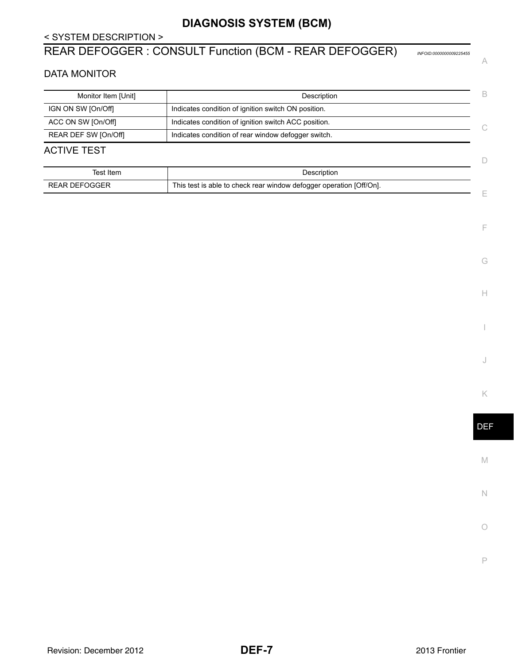### **DIAGNOSIS SYSTEM (BCM)**

### < SYSTEM DESCRIPTION >

## <span id="page-6-0"></span>REAR DEFOGGER : CONSULT Function (BCM - REAR DEFOGGER) *INFOID:0000000009225455*

#### DATA MONITOR

| Monitor Item [Unit]  | Description                                          |  |
|----------------------|------------------------------------------------------|--|
| IGN ON SW [On/Off]   | Indicates condition of ignition switch ON position.  |  |
| ACC ON SW [On/Off]   | Indicates condition of ignition switch ACC position. |  |
| REAR DEF SW [On/Off] | Indicates condition of rear window defogger switch.  |  |

### ACTIVE TEST

| Test Item     | Description                                                         |
|---------------|---------------------------------------------------------------------|
| REAR DEFOGGER | This test is able to check rear window defogger operation [Off/On]. |

DEF

M

N

O

P

 $\Box$ 

A

E

F

G

H

I

J

K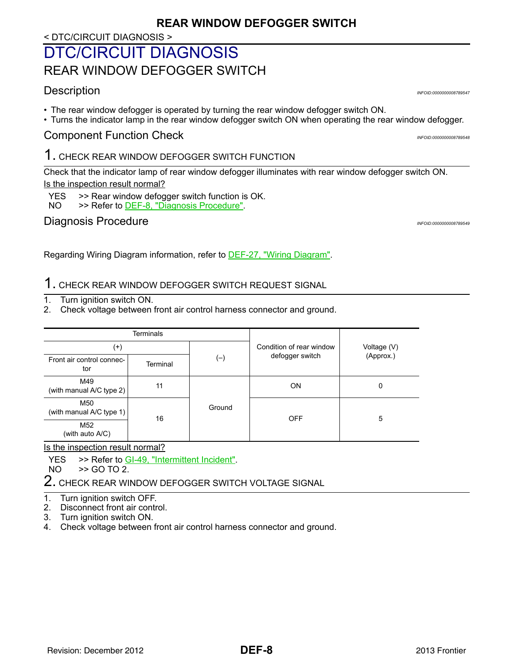### < DTC/CIRCUIT DIAGNOSIS >

## <span id="page-7-1"></span><span id="page-7-0"></span>DTC/CIRCUIT DIAGNOSIS REAR WINDOW DEFOGGER SWITCH

## <span id="page-7-2"></span>Description *INFOID:0000000008789547*

• The rear window defogger is operated by turning the rear window defogger switch ON.

• Turns the indicator lamp in the rear window defogger switch ON when operating the rear window defogger.

## <span id="page-7-3"></span>Component Function Check *INFOID:0000000008789548*

1. CHECK REAR WINDOW DEFOGGER SWITCH FUNCTION

Check that the indicator lamp of rear window defogger illuminates with rear window defogger switch ON. Is the inspection result normal?

- YES >> Rear window defogger switch function is OK.
- NO >> Refer to [DEF-8, "Diagnosis Procedure".](#page-7-4)

## <span id="page-7-4"></span>Diagnosis Procedure *INFOID:00000008789549*

Regarding Wiring Diagram information, refer to [DEF-27, "Wiring Diagram"](#page-26-2).

## 1. CHECK REAR WINDOW DEFOGGER SWITCH REQUEST SIGNAL

- 1. Turn ignition switch ON.
- 2. Check voltage between front air control harness connector and ground.

| <b>Terminals</b>                   |          |        |                          |             |  |
|------------------------------------|----------|--------|--------------------------|-------------|--|
| $^{(+)}$                           |          |        | Condition of rear window | Voltage (V) |  |
| Front air control connec-<br>tor   | Terminal | $(-)$  | defogger switch          | (Approx.)   |  |
| M49<br>(with manual A/C type 2)    | 11       |        | ΟN                       | 0           |  |
| M50<br>(with manual A/C type 1)    | 16       | Ground | <b>OFF</b>               | 5           |  |
| M <sub>52</sub><br>(with auto A/C) |          |        |                          |             |  |

### Is the inspection result normal?

YES >> Refer to GI-49, "Intermittent Incident".<br>NO >> GO TO 2.

>> GO TO 2.

2. CHECK REAR WINDOW DEFOGGER SWITCH VOLTAGE SIGNAL

- 1. Turn ignition switch OFF.
- 2. Disconnect front air control.
- 3. Turn ignition switch ON.
- 4. Check voltage between front air control harness connector and ground.

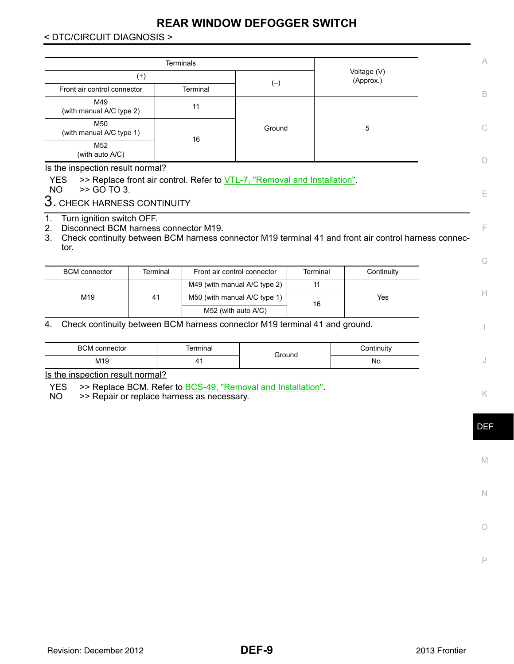## **REAR WINDOW DEFOGGER SWITCH**

### < DTC/CIRCUIT DIAGNOSIS >

|                                                                                | <b>Terminals</b> |                                                                                                                    |                              |          |                                                                                                      |    |  |  |
|--------------------------------------------------------------------------------|------------------|--------------------------------------------------------------------------------------------------------------------|------------------------------|----------|------------------------------------------------------------------------------------------------------|----|--|--|
|                                                                                | $(+)$            |                                                                                                                    |                              |          | Voltage (V)<br>(Approx.)                                                                             |    |  |  |
| Front air control connector                                                    |                  | Terminal                                                                                                           | $(-)$                        |          |                                                                                                      |    |  |  |
| M49<br>(with manual A/C type 2)                                                |                  | 11                                                                                                                 |                              |          |                                                                                                      |    |  |  |
| M50<br>(with manual A/C type 1)                                                |                  | 16                                                                                                                 | Ground                       |          | 5                                                                                                    |    |  |  |
| M <sub>52</sub><br>(with auto A/C)                                             |                  |                                                                                                                    |                              |          |                                                                                                      | D  |  |  |
| Is the inspection result normal?                                               |                  |                                                                                                                    |                              |          |                                                                                                      |    |  |  |
| <b>YES</b><br><b>NO</b><br>$>>$ GO TO 3.                                       |                  | >> Replace front air control. Refer to VTL-7, "Removal and Installation".                                          |                              |          |                                                                                                      |    |  |  |
| 3. CHECK HARNESS CONTINUITY                                                    |                  |                                                                                                                    |                              |          |                                                                                                      |    |  |  |
| Turn ignition switch OFF.<br>1.<br>Disconnect BCM harness connector M19.<br>2. |                  |                                                                                                                    |                              |          |                                                                                                      |    |  |  |
| tor.                                                                           |                  |                                                                                                                    |                              |          | Check continuity between BCM harness connector M19 terminal 41 and front air control harness connec- |    |  |  |
| <b>BCM</b> connector                                                           | <b>Terminal</b>  |                                                                                                                    | Front air control connector  | Terminal | Continuity                                                                                           | G  |  |  |
|                                                                                |                  |                                                                                                                    | M49 (with manual A/C type 2) | 11       |                                                                                                      |    |  |  |
| M19                                                                            | 41               |                                                                                                                    | M50 (with manual A/C type 1) |          | Yes                                                                                                  | H. |  |  |
|                                                                                |                  |                                                                                                                    | M52 (with auto A/C)          | 16       |                                                                                                      |    |  |  |
| Check continuity between BCM harness connector M19 terminal 41 and ground.     |                  |                                                                                                                    |                              |          |                                                                                                      |    |  |  |
|                                                                                |                  |                                                                                                                    |                              |          |                                                                                                      |    |  |  |
| <b>BCM</b> connector                                                           |                  | Terminal                                                                                                           |                              |          | Continuity                                                                                           |    |  |  |
| M19                                                                            |                  | 41                                                                                                                 | Ground                       |          | <b>No</b>                                                                                            |    |  |  |
| 3.<br>4.<br>Is the inspection result normal?                                   |                  |                                                                                                                    |                              |          |                                                                                                      |    |  |  |
| <b>YES</b><br><b>NO</b>                                                        |                  | >> Replace BCM. Refer to <b>BCS-49. "Removal and Installation"</b> .<br>>> Repair or replace harness as necessary. |                              |          |                                                                                                      |    |  |  |

M

N

O

P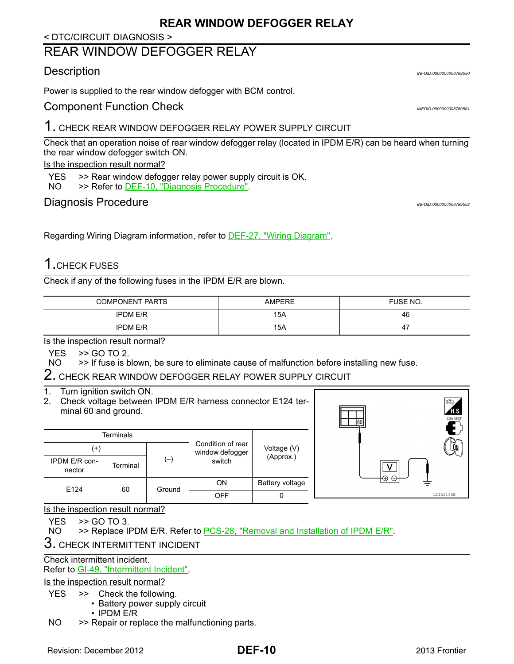### **REAR WINDOW DEFOGGER RELAY**

### < DTC/CIRCUIT DIAGNOSIS >

## <span id="page-9-0"></span>REAR WINDOW DEFOGGER RELAY

## <span id="page-9-1"></span>Description *INFOID:0000000008789550*

Power is supplied to the rear window defogger with BCM control.

### <span id="page-9-2"></span>Component Function Check *INFOID:0000000008789551*

## 1. CHECK REAR WINDOW DEFOGGER RELAY POWER SUPPLY CIRCUIT

Check that an operation noise of rear window defogger relay (located in IPDM E/R) can be heard when turning the rear window defogger switch ON.

Is the inspection result normal?

- YES >> Rear window defogger relay power supply circuit is OK.
- NO >> Refer to [DEF-10, "Diagnosis Procedure"](#page-9-3).

## <span id="page-9-3"></span>Diagnosis Procedure *INFOID:0000000008789552*

Regarding Wiring Diagram information, refer to [DEF-27, "Wiring Diagram"](#page-26-2).

## 1.CHECK FUSES

Check if any of the following fuses in the IPDM E/R are blown.

| <b>COMPONENT PARTS</b> | <b>AMPERE</b> | FUSE NO.    |
|------------------------|---------------|-------------|
| <b>IPDM E/R</b>        | 15A           | 46          |
| <b>IPDM E/R</b>        | 15A           | $4^{\circ}$ |

Is the inspection result normal?

YES >> GO TO 2.

NO >> If fuse is blown, be sure to eliminate cause of malfunction before installing new fuse.

### 2. CHECK REAR WINDOW DEFOGGER RELAY POWER SUPPLY CIRCUIT

1. Turn ignition switch ON.

2. Check voltage between IPDM E/R harness connector E124 terminal 60 and ground.

|                         | <b>Terminals</b> |        |                                      |                          |
|-------------------------|------------------|--------|--------------------------------------|--------------------------|
| $^{(+)}$                |                  |        | Condition of rear<br>window defogger | Voltage (V)<br>(Approx.) |
| IPDM E/R con-<br>nector | Terminal         | $(-)$  | switch                               |                          |
| E124                    | 60               | Ground | ON                                   | Battery voltage          |
|                         |                  |        | OFF                                  |                          |



#### Is the inspection result normal?

YES >> GO TO 3.

NO >> Replace IPDM E/R. Refer to PCS-28, "Removal and Installation of IPDM E/R".

## 3. CHECK INTERMITTENT INCIDENT

Check intermittent incident.

### Refer to GI-49, "Intermittent Incident".

Is the inspection result normal?

- YES >> Check the following.
	- Battery power supply circuit
		- IPDM E/R
- NO >> Repair or replace the malfunctioning parts.

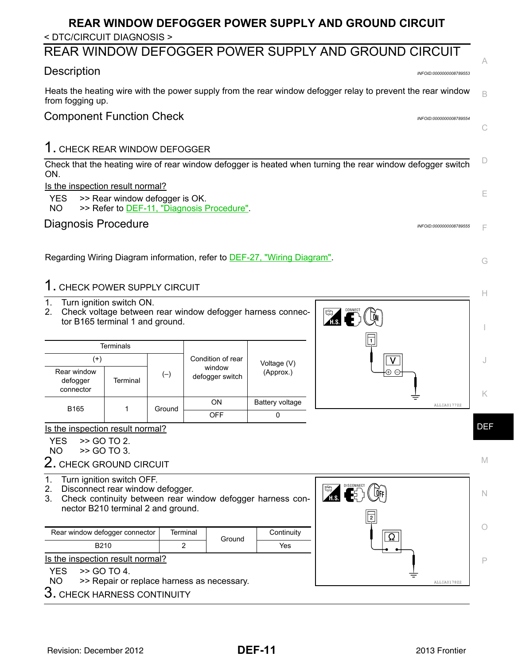#### <span id="page-10-3"></span><span id="page-10-2"></span><span id="page-10-1"></span><span id="page-10-0"></span>**REAR WINDOW DEFOGGER POWER SUPPLY AND GROUND CIRCUIT** < DTC/CIRCUIT DIAGNOSIS > REAR WINDOW DEFOGGER POWER SUPPLY AND GROUND CIRCUIT A Description *INFOID:0000000008789553* Heats the heating wire with the power supply from the rear window defogger relay to prevent the rear window B from fogging up. Component Function Check *INFOID:0000000008789554* C 1. CHECK REAR WINDOW DEFOGGER  $\Box$ Check that the heating wire of rear window defogger is heated when turning the rear window defogger switch ON. Is the inspection result normal? E YES >> Rear window defogger is OK. NO >> Refer to [DEF-11, "Diagnosis Procedure".](#page-10-3) Diagnosis Procedure *INFOID:0000000008789555* F Regarding Wiring Diagram information, refer to **DEF-27, "Wiring Diagram"**. G 1. CHECK POWER SUPPLY CIRCUIT H 1. Turn ignition switch ON. **ERIS.** CONNECT CON 2. Check voltage between rear window defogger harness connector B165 terminal 1 and ground. I **Terminals** Condition of rear (+) J Voltage (V) window Rear window  $\begin{vmatrix} -1 & -1 \\ 0 & -1 \end{vmatrix}$  (-) A A (Approx.) defogger switch **Terminal** connector K B165 1 Ground ON Battery voltage ALLIA0177ZZ OFF | 0 DEF Is the inspection result normal?  $YFS \implies GOTO 2.$ NO >> GO TO 3. M  $2$ . CHECK GROUND CIRCUIT 1. Turn ignition switch OFF. **EED COFF** 2. Disconnect rear window defogger. N 3. Check continuity between rear window defogger harness connector B210 terminal 2 and ground. O Rear window defogger connector Terminal Ground Continuity<br>B210 2 Ground Yes Ω B210 2 Yes Is the inspection result normal? P  $YES$   $>>$  GO TO 4.<br>NO  $>>$  Repair or >> Repair or replace harness as necessary. ALLIA0178Z  $3_\cdot$  check harness continuity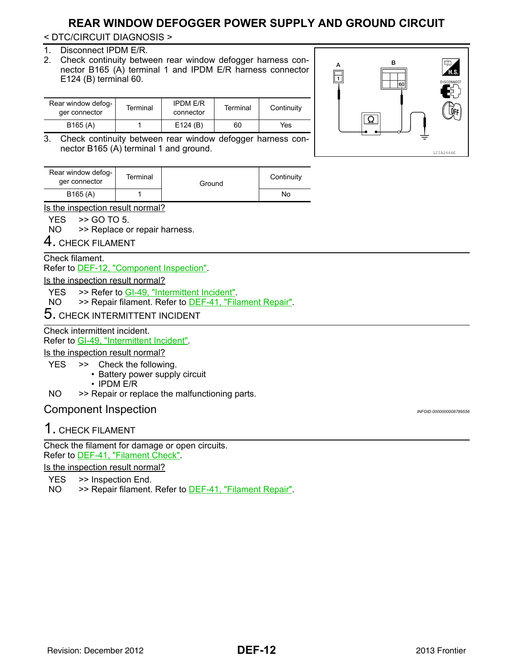## **REAR WINDOW DEFOGGER POWER SUPPLY AND GROUND CIRCUIT**

< DTC/CIRCUIT DIAGNOSIS >

- 1. Disconnect IPDM E/R.
- 2. Check continuity between rear window defogger harness connector B165 (A) terminal 1 and IPDM E/R harness connector E124 (B) terminal 60.

| Rear window defog-<br>ger connector | Terminal | <b>IPDM E/R</b><br>connector | Terminal | Continuity |
|-------------------------------------|----------|------------------------------|----------|------------|
| B <sub>165</sub> (A)                |          | E124(B)                      | 60       | Yes        |

3. Check continuity between rear window defogger harness connector B165 (A) terminal 1 and ground.

| Rear window defog-<br>ger connector | Terminal | Ground | Continuity |
|-------------------------------------|----------|--------|------------|
| B <sub>165</sub> (A)                |          |        | No         |

Is the inspection result normal?

YES >> GO TO 5.

NO >> Replace or repair harness.

4. CHECK FILAMENT

Check filament.

Refer to [DEF-12, "Component Inspection"](#page-11-0).

Is the inspection result normal?

YES >> Refer to GI-49, "Intermittent Incident".<br>NO >> Repair filament, Refer to DEF-41, "Fila

>> Repair filament. Refer to [DEF-41, "Filament Repair"](#page-40-3).

5. CHECK INTERMITTENT INCIDENT

Check intermittent incident.

Refer to GI-49, "Intermittent Incident".

#### Is the inspection result normal?

#### YES >> Check the following.

- Battery power supply circuit
- IPDM E/R
- NO >> Repair or replace the malfunctioning parts.

### <span id="page-11-0"></span>Component Inspection *INFOID:0000000008789556*

## 1. CHECK FILAMENT

Check the filament for damage or open circuits. Refer to [DEF-41, "Filament Check"](#page-40-2).

Is the inspection result normal?

YES >> Inspection End.

NO >> Repair filament. Refer to [DEF-41, "Filament Repair"](#page-40-3).

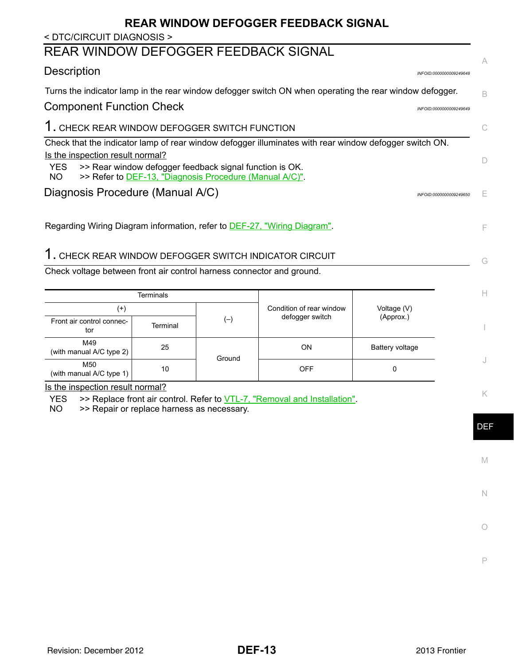## **REAR WINDOW DEFOGGER FEEDBACK SIGNAL**

<span id="page-12-2"></span><span id="page-12-1"></span><span id="page-12-0"></span>

| < DTC/CIRCUIT DIAGNOSIS >                                                                                                         |   |
|-----------------------------------------------------------------------------------------------------------------------------------|---|
| REAR WINDOW DEFOGGER FEEDBACK SIGNAL                                                                                              | A |
| <b>Description</b><br>INFOID:0000000009249648                                                                                     |   |
| Turns the indicator lamp in the rear window defogger switch ON when operating the rear window defogger.                           | R |
| <b>Component Function Check</b><br>INFOID:0000000009249649                                                                        |   |
| 1. CHECK REAR WINDOW DEFOGGER SWITCH FUNCTION                                                                                     |   |
| Check that the indicator lamp of rear window defogger illuminates with rear window defogger switch ON.                            |   |
| Is the inspection result normal?                                                                                                  | D |
| YES.<br>>> Rear window defogger feedback signal function is OK.<br>>> Refer to DEF-13, "Diagnosis Procedure (Manual A/C)".<br>NO. |   |
| Diagnosis Procedure (Manual A/C)<br>INFOID:0000000009249650                                                                       | F |
|                                                                                                                                   |   |
| Regarding Wiring Diagram information, refer to <b>DEF-27, "Wiring Diagram"</b> .                                                  | F |

## <span id="page-12-3"></span>1. CHECK REAR WINDOW DEFOGGER SWITCH INDICATOR CIRCUIT

Check voltage between front air control harness connector and ground.

| <b>Terminals</b>                 |          |        |                          |                 |   |
|----------------------------------|----------|--------|--------------------------|-----------------|---|
| $^{(+)}$                         |          |        | Condition of rear window | Voltage (V)     |   |
| Front air control connec-<br>tor | Terminal | $(-)$  | defogger switch          | (Approx.)       |   |
| M49<br>(with manual A/C type 2)  | 25       | Ground | <b>ON</b>                | Battery voltage |   |
| M50<br>(with manual A/C type 1)  | 10       |        | <b>OFF</b>               | 0               | U |

Is the inspection result normal?

 $YES$  >> Replace front air control. Refer to  $VTL-7$ , "Removal and Installation".<br>NO >> Repair or replace harness as necessary.

>> Repair or replace harness as necessary.

DEF

M

N

 $\bigcirc$ 

P

K

G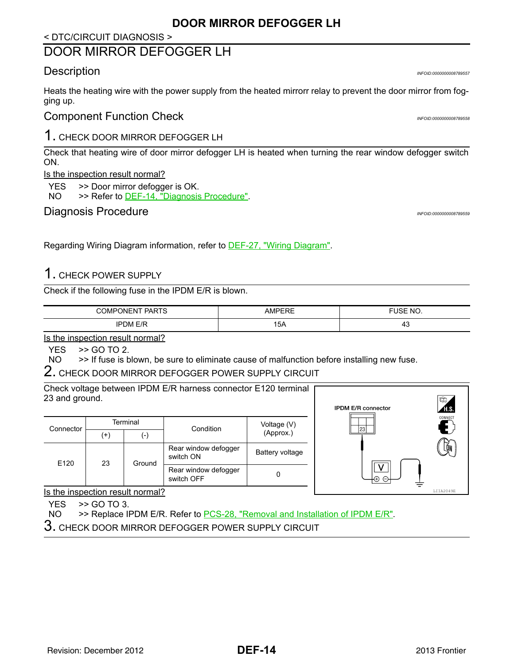### **DOOR MIRROR DEFOGGER LH**

### < DTC/CIRCUIT DIAGNOSIS >

## <span id="page-13-0"></span>DOOR MIRROR DEFOGGER LH

### <span id="page-13-1"></span>Description *INFOID:0000000008789557*

Heats the heating wire with the power supply from the heated mirrorr relay to prevent the door mirror from fogging up.

## <span id="page-13-2"></span>Component Function Check *INFOID:0000000008789558*

## 1. CHECK DOOR MIRROR DEFOGGER LH

Check that heating wire of door mirror defogger LH is heated when turning the rear window defogger switch ON.

Is the inspection result normal?

- YES >> Door mirror defogger is OK.
- NO >> Refer to [DEF-14, "Diagnosis Procedure"](#page-13-3).

## <span id="page-13-3"></span>Diagnosis Procedure *INFOID:00000008789555*

Regarding Wiring Diagram information, refer to [DEF-27, "Wiring Diagram"](#page-26-2).

## 1. CHECK POWER SUPPLY

Check if the following fuse in the IPDM E/R is blown.

| <b>DADTC</b><br>)MP<br>)NH<br>NL | $\cdots$<br>AMPF<br>∼ | F110F<br>$\overline{\phantom{a}}$<br>.<br>IΜ<br>י<br>$\cdot$<br>_____<br>$\sim$ $\sim$ |
|----------------------------------|-----------------------|----------------------------------------------------------------------------------------|
| $\square$<br>эM                  | . .<br>15A            | $\sim$<br>᠇◡<br>$\sim$                                                                 |

Is the inspection result normal?

 $YES$   $>>$  GO TO 2.<br>NO  $>>$  If fuse is b

>> If fuse is blown, be sure to eliminate cause of malfunction before installing new fuse.

## 2. CHECK DOOR MIRROR DEFOGGER POWER SUPPLY CIRCUIT

Check voltage between IPDM E/R harness connector E120 terminal 23 and ground.

| Connector        |              | Terminal                           | Condition                         | Voltage (V)     |
|------------------|--------------|------------------------------------|-----------------------------------|-----------------|
|                  | (-)<br>$(+)$ |                                    |                                   | (Approx.)       |
| E <sub>120</sub> |              | Ground                             | Rear window defogger<br>switch ON | Battery voltage |
| 23               |              | Rear window defogger<br>switch OFF |                                   |                 |



Is the inspection result normal?

 $YES$   $\geq$  GO TO 3.

NO >> Replace IPDM E/R. Refer to PCS-28, "Removal and Installation of IPDM E/R".

3. CHECK DOOR MIRROR DEFOGGER POWER SUPPLY CIRCUIT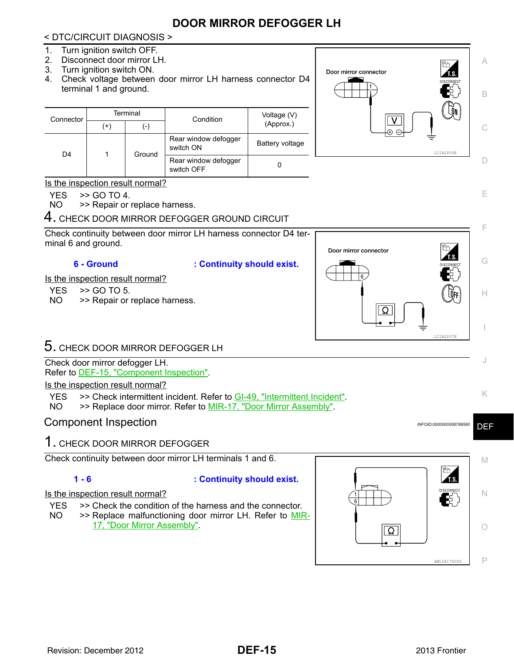## **DOOR MIRROR DEFOGGER LH**

#### < DTC/CIRCUIT DIAGNOSIS >

<span id="page-14-0"></span>1. Turn ignition switch OFF. 2. Disconnect door mirror LH. A 3. Turn ignition switch ON. Door mirror connector 4. Check voltage between door mirror LH harness connector D4 terminal 1 and ground. B **Terminal** Condition **Voltage (V) Connector**  $(+)$  (-) Condition (Approx.) C  $\subset$ Rear window defogger switch ON Battery voltage D<sub>4</sub> 1 Ground LIIA20501 Rear window defogger  $\Box$ switch OFF 0 Is the inspection result normal? E  $YES$   $>>$  GO TO 4.<br>NO  $>>$  Repair or >> Repair or replace harness. **4.** CHECK DOOR MIRROR DEFOGGER GROUND CIRCUIT F Check continuity between door mirror LH harness connector D4 terminal 6 and ground. Door mirror connector G **6 - Ground : Continuity should exist.** Is the inspection result normal? YES >> GO TO 5. H NO >> Repair or replace harness. Ω I LIIA2037E 5. CHECK DOOR MIRROR DEFOGGER LH J Check door mirror defogger LH. Refer to [DEF-15, "Component Inspection".](#page-14-0) Is the inspection result normal? K YES >> Check intermittent incident. Refer to GI-49, "Intermittent Incident". NO >> Replace door mirror. Refer to MIR-17, "Door Mirror Assembly". Component Inspection *INFOID:0000000008789560* DEF 1. CHECK DOOR MIRROR DEFOGGER Check continuity between door mirror LH terminals 1 and 6. M **1 - 6 : Continuity should exist.** Is the inspection result normal? N YES >> Check the condition of the harness and the connector. NO >> Replace malfunctioning door mirror LH. Refer to MIR-17, "Door Mirror Assembly". O  $\overline{\Omega}$ 

AWLIA1760ZZ

P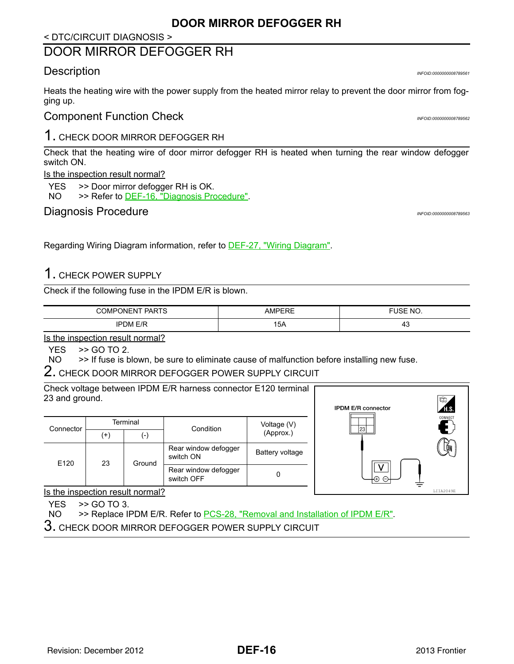### **DOOR MIRROR DEFOGGER RH**

### < DTC/CIRCUIT DIAGNOSIS >

## <span id="page-15-0"></span>DOOR MIRROR DEFOGGER RH

### <span id="page-15-1"></span>Description *INFOID:0000000008789561*

Heats the heating wire with the power supply from the heated mirror relay to prevent the door mirror from fogging up.

## <span id="page-15-2"></span>Component Function Check *INFOID:0000000008789562*

## 1. CHECK DOOR MIRROR DEFOGGER RH

Check that the heating wire of door mirror defogger RH is heated when turning the rear window defogger switch ON.

Is the inspection result normal?

- YES >> Door mirror defogger RH is OK.
- NO >> Refer to [DEF-16, "Diagnosis Procedure"](#page-15-3).

## <span id="page-15-3"></span>Diagnosis Procedure **Information** *INFOID:00000008789563*

Regarding Wiring Diagram information, refer to [DEF-27, "Wiring Diagram"](#page-26-2).

## 1. CHECK POWER SUPPLY

Check if the following fuse in the IPDM E/R is blown.

| <b>PARTS</b><br>่ามENT<br>JMP'<br>$\cdot$<br>∼ | $- - - -$<br>ᄱᇰ<br>∼     | $-1.0 -$<br>$\overline{\phantom{a}}$<br>ואו<br>. .<br>__<br>___ |
|------------------------------------------------|--------------------------|-----------------------------------------------------------------|
| $\overline{1}$                                 | $\overline{\phantom{0}}$ | . .                                                             |
| . JM                                           | 15A                      | ᠇◡                                                              |
|                                                | ____                     | $\sim$                                                          |

Is the inspection result normal?

 $YES$   $>>$  GO TO 2.<br>NO  $>>$  If fuse is b

>> If fuse is blown, be sure to eliminate cause of malfunction before installing new fuse.

## 2. CHECK DOOR MIRROR DEFOGGER POWER SUPPLY CIRCUIT

Check voltage between IPDM E/R harness connector E120 terminal 23 and ground.

| Connector        |                | Terminal                           | Condition                         | Voltage (V)     |
|------------------|----------------|------------------------------------|-----------------------------------|-----------------|
|                  | $(-)$<br>$(+)$ |                                    |                                   | (Approx.)       |
| E <sub>120</sub> |                | Ground                             | Rear window defogger<br>switch ON | Battery voltage |
| 23               |                | Rear window defogger<br>switch OFF |                                   |                 |



Is the inspection result normal?

 $YES$   $\geq$  GO TO 3.

NO >> Replace IPDM E/R. Refer to PCS-28, "Removal and Installation of IPDM E/R".

3. CHECK DOOR MIRROR DEFOGGER POWER SUPPLY CIRCUIT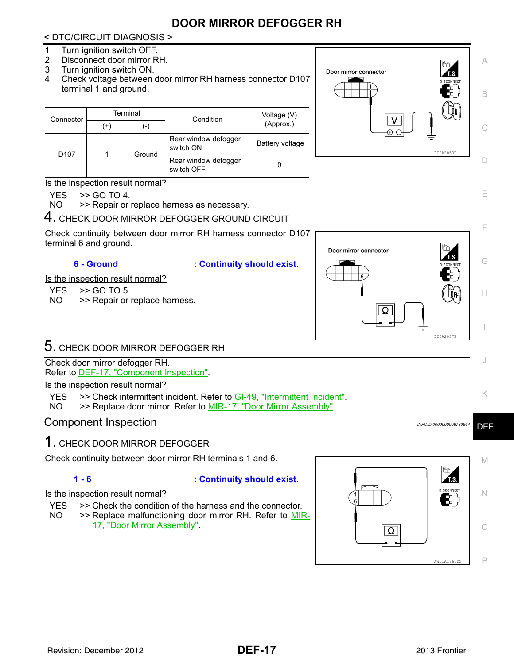## **DOOR MIRROR DEFOGGER RH**

<span id="page-16-0"></span>< DTC/CIRCUIT DIAGNOSIS > 1. Turn ignition switch OFF. 2. Disconnect door mirror RH. A 3. Turn ignition switch ON. Door mirror connector 4. Check voltage between door mirror RH harness connector D107 terminal 1 and ground. B **Terminal** Condition **Voltage (V) Connector**  $(+)$  (-) Condition (Approx.) C  $\subset$ Rear window defogger switch ON Battery voltage D<sub>107</sub> | 1 | Ground LIIA20501 Rear window defogger  $\Box$ switch OFF 0 Is the inspection result normal? E  $YES$   $>>$  GO TO 4. NO >> Repair or replace harness as necessary. **4.** CHECK DOOR MIRROR DEFOGGER GROUND CIRCUIT F Check continuity between door mirror RH harness connector D107 terminal 6 and ground. Door mirror connector G **6 - Ground : Continuity should exist.** Is the inspection result normal?  $YES$   $>>$  GO TO 5.<br>NO  $>>$  Repair or H >> Repair or replace harness. Ω I LIIA2037E 5. CHECK DOOR MIRROR DEFOGGER RH J Check door mirror defogger RH. Refer to **DEF-17, "Component Inspection"**. Is the inspection result normal? K YES >> Check intermittent incident. Refer to GI-49, "Intermittent Incident". NO >> Replace door mirror. Refer to MIR-17, "Door Mirror Assembly". **Component Inspection** *Instegral Component* Instead of *INFOID:000000008789564* DEF 1. CHECK DOOR MIRROR DEFOGGER Check continuity between door mirror RH terminals 1 and 6. M **1 - 6 : Continuity should exist.** Is the inspection result normal? N YES >> Check the condition of the harness and the connector. NO >> Replace malfunctioning door mirror RH. Refer to MIR-17, "Door Mirror Assembly". O  $\overline{\Omega}$ 

AWLIA1760ZZ

P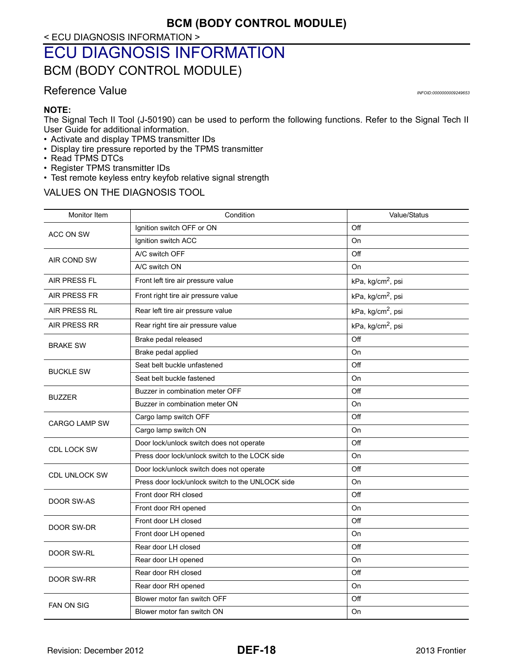### < ECU DIAGNOSIS INFORMATION >

# <span id="page-17-0"></span>ECU DIAGNOSIS INFORMATION

<span id="page-17-1"></span>BCM (BODY CONTROL MODULE)

### <span id="page-17-2"></span>Reference Value *INFOID:0000000009249653*

#### **NOTE:**

The Signal Tech II Tool (J-50190) can be used to perform the following functions. Refer to the Signal Tech II User Guide for additional information.

- Activate and display TPMS transmitter IDs
- Display tire pressure reported by the TPMS transmitter
- Read TPMS DTCs
- Register TPMS transmitter IDs
- Test remote keyless entry keyfob relative signal strength

#### VALUES ON THE DIAGNOSIS TOOL

| Monitor Item         | Condition                                        | Value/Status                  |
|----------------------|--------------------------------------------------|-------------------------------|
|                      | Ignition switch OFF or ON                        | $\bigcirc$ ff                 |
| ACC ON SW            | Ignition switch ACC                              | On                            |
|                      | A/C switch OFF                                   | Off                           |
| AIR COND SW          | A/C switch ON                                    | On                            |
| AIR PRESS FL         | Front left tire air pressure value               | kPa, kg/cm <sup>2</sup> , psi |
| <b>AIR PRESS FR</b>  | Front right tire air pressure value              | kPa, kg/cm <sup>2</sup> , psi |
| <b>AIR PRESS RL</b>  | Rear left tire air pressure value                | kPa, kg/cm <sup>2</sup> , psi |
| AIR PRESS RR         | Rear right tire air pressure value               | kPa, kg/cm <sup>2</sup> , psi |
| <b>BRAKE SW</b>      | Brake pedal released                             | Off                           |
|                      | Brake pedal applied                              | On                            |
| <b>BUCKLE SW</b>     | Seat belt buckle unfastened                      | Off                           |
|                      | Seat belt buckle fastened                        | On                            |
| <b>BUZZER</b>        | Buzzer in combination meter OFF                  | Off                           |
|                      | Buzzer in combination meter ON                   | On                            |
| <b>CARGO LAMP SW</b> | Cargo lamp switch OFF                            | Off                           |
|                      | Cargo lamp switch ON                             | On                            |
| <b>CDL LOCK SW</b>   | Door lock/unlock switch does not operate         | Off                           |
|                      | Press door lock/unlock switch to the LOCK side   | On                            |
|                      | Door lock/unlock switch does not operate         | Off                           |
| <b>CDL UNLOCK SW</b> | Press door lock/unlock switch to the UNLOCK side | On                            |
| <b>DOOR SW-AS</b>    | Front door RH closed                             | Off                           |
|                      | Front door RH opened                             | On                            |
|                      | Front door LH closed                             | Off                           |
| DOOR SW-DR           | Front door LH opened                             | On                            |
| <b>DOOR SW-RL</b>    | Rear door LH closed                              | Off                           |
|                      | Rear door LH opened                              | On                            |
|                      | Rear door RH closed                              | Off                           |
| DOOR SW-RR           | Rear door RH opened                              | On                            |
|                      | Blower motor fan switch OFF                      | Off                           |
| <b>FAN ON SIG</b>    | Blower motor fan switch ON                       | On                            |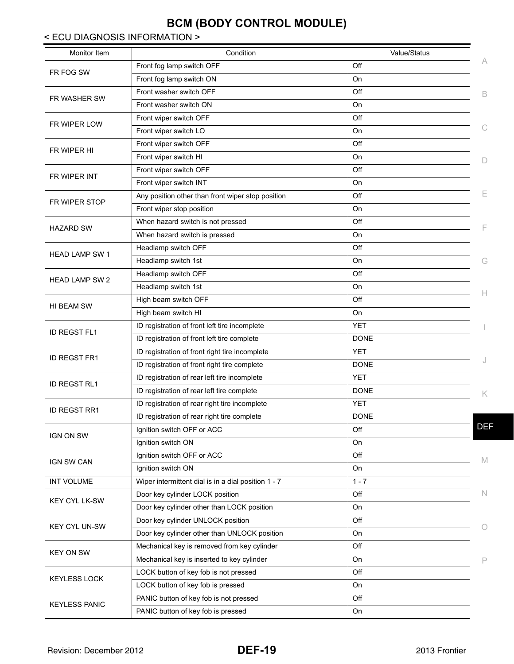### < ECU DIAGNOSIS INFORMATION >

| Monitor Item          | Condition                                           | Value/Status |            |
|-----------------------|-----------------------------------------------------|--------------|------------|
| FR FOG SW             | Front fog lamp switch OFF                           | Off          |            |
|                       | Front fog lamp switch ON                            | On           |            |
| FR WASHER SW          | Front washer switch OFF                             | Off          | В          |
|                       | Front washer switch ON                              | On           |            |
| FR WIPER LOW          | Front wiper switch OFF                              | Off          |            |
|                       | Front wiper switch LO                               | On           |            |
| FR WIPER HI           | Front wiper switch OFF                              | Off          |            |
|                       | Front wiper switch HI                               | On           | D          |
| FR WIPER INT          | Front wiper switch OFF                              | Off          |            |
|                       | Front wiper switch INT                              | On           |            |
| FR WIPER STOP         | Any position other than front wiper stop position   | Off          | Е          |
|                       | Front wiper stop position                           | On           |            |
| <b>HAZARD SW</b>      | When hazard switch is not pressed                   | Off          |            |
|                       | When hazard switch is pressed                       | On           |            |
| <b>HEAD LAMP SW 1</b> | Headlamp switch OFF                                 | Off          |            |
|                       | Headlamp switch 1st                                 | On           | G          |
| <b>HEAD LAMP SW 2</b> | Headlamp switch OFF                                 | Off          |            |
|                       | Headlamp switch 1st                                 | On           | н          |
| HI BEAM SW            | High beam switch OFF                                | Off          |            |
|                       | High beam switch HI                                 | On           |            |
| <b>ID REGST FL1</b>   | ID registration of front left tire incomplete       | <b>YET</b>   |            |
|                       | ID registration of front left tire complete         | <b>DONE</b>  |            |
| <b>ID REGST FR1</b>   | ID registration of front right tire incomplete      | <b>YET</b>   |            |
|                       | ID registration of front right tire complete        | <b>DONE</b>  |            |
| <b>ID REGST RL1</b>   | ID registration of rear left tire incomplete        | <b>YET</b>   |            |
|                       | ID registration of rear left tire complete          | <b>DONE</b>  | Κ          |
| <b>ID REGST RR1</b>   | ID registration of rear right tire incomplete       | <b>YET</b>   |            |
|                       | ID registration of rear right tire complete         | <b>DONE</b>  |            |
| <b>IGN ON SW</b>      | Ignition switch OFF or ACC                          | Off          | <b>DEF</b> |
|                       | Ignition switch ON                                  | On           |            |
| <b>IGN SW CAN</b>     | Ignition switch OFF or ACC                          | Off          | M          |
|                       | Ignition switch ON                                  | On           |            |
| INT VOLUME            | Wiper intermittent dial is in a dial position 1 - 7 | $1 - 7$      |            |
| KEY CYL LK-SW         | Door key cylinder LOCK position                     | Off          | N          |
|                       | Door key cylinder other than LOCK position          | On           |            |
| <b>KEY CYL UN-SW</b>  | Door key cylinder UNLOCK position                   | Off          | Ω          |
|                       | Door key cylinder other than UNLOCK position        | On           |            |
| <b>KEY ON SW</b>      | Mechanical key is removed from key cylinder         | Off          |            |
|                       | Mechanical key is inserted to key cylinder          | On           | P          |
| <b>KEYLESS LOCK</b>   | LOCK button of key fob is not pressed               | Off          |            |
|                       | LOCK button of key fob is pressed                   | On           |            |
| <b>KEYLESS PANIC</b>  | PANIC button of key fob is not pressed              | Off          |            |
|                       | PANIC button of key fob is pressed                  | On           |            |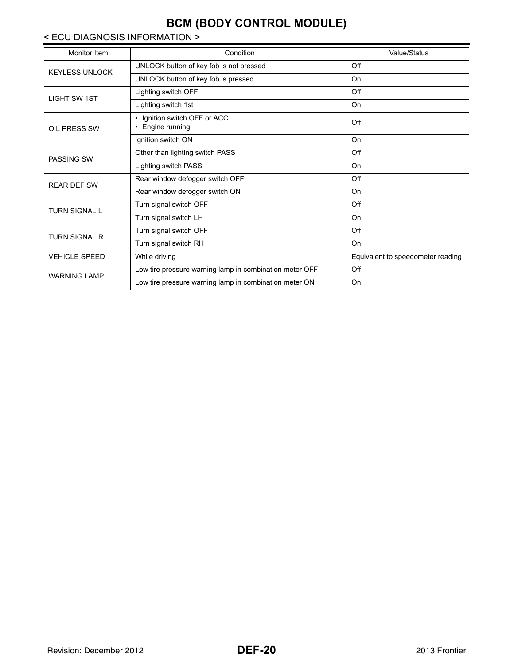### < ECU DIAGNOSIS INFORMATION >

| Monitor Item          | Condition                                               | Value/Status                      |
|-----------------------|---------------------------------------------------------|-----------------------------------|
| <b>KEYLESS UNLOCK</b> | UNLOCK button of key fob is not pressed                 | Off                               |
|                       | UNLOCK button of key fob is pressed                     | On                                |
| <b>LIGHT SW 1ST</b>   | Lighting switch OFF                                     | Off                               |
|                       | Lighting switch 1st                                     | On                                |
| OIL PRESS SW          | Ignition switch OFF or ACC<br>Engine running            | Off                               |
|                       | Ignition switch ON                                      | On                                |
|                       | Other than lighting switch PASS                         | Off                               |
| <b>PASSING SW</b>     | Lighting switch PASS                                    | On                                |
| <b>REAR DEF SW</b>    | Rear window defogger switch OFF                         | Off                               |
|                       | Rear window defogger switch ON                          | On                                |
| <b>TURN SIGNAL L</b>  | Turn signal switch OFF                                  | Off                               |
|                       | Turn signal switch LH                                   | On                                |
| <b>TURN SIGNAL R</b>  | Turn signal switch OFF                                  | Off                               |
|                       | Turn signal switch RH                                   | On                                |
| <b>VEHICLE SPEED</b>  | While driving                                           | Equivalent to speedometer reading |
| <b>WARNING LAMP</b>   | Low tire pressure warning lamp in combination meter OFF | Off                               |
|                       | Low tire pressure warning lamp in combination meter ON  | On                                |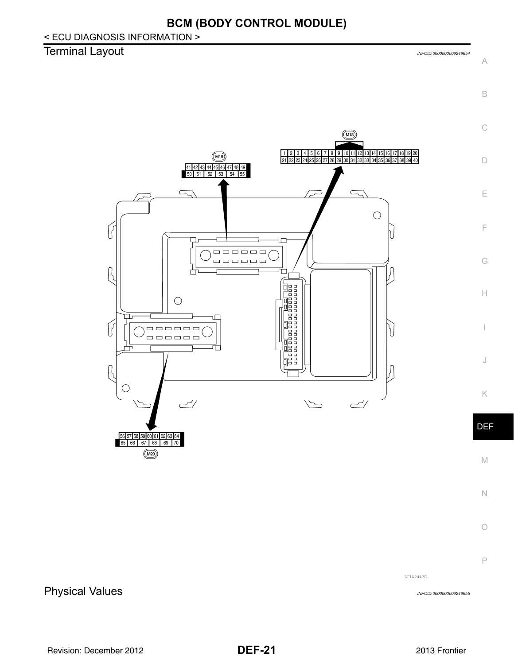< ECU DIAGNOSIS INFORMATION >

## <span id="page-20-0"></span>Terminal Layout *INFOID:0000000009249654*

A



<span id="page-20-1"></span>Physical Values *INFOID:0000000009249655*

LIIA2443E

P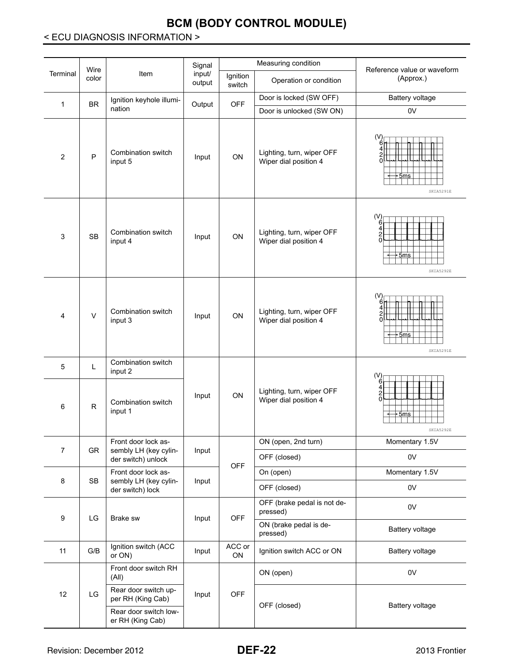### < ECU DIAGNOSIS INFORMATION >

|                | Wire      |                                             | Signal           |                    | Measuring condition                                | Reference value or waveform                         |
|----------------|-----------|---------------------------------------------|------------------|--------------------|----------------------------------------------------|-----------------------------------------------------|
| Terminal       | color     | Item                                        | input/<br>output | Ignition<br>switch | Operation or condition                             | (Approx.)                                           |
| $\mathbf{1}$   | <b>BR</b> | Ignition keyhole illumi-                    | Output           | <b>OFF</b>         | Door is locked (SW OFF)                            | Battery voltage                                     |
|                |           | nation                                      |                  |                    | Door is unlocked (SW ON)                           | 0V                                                  |
| 2              | P         | Combination switch<br>input 5               | Input            | ON                 | Lighting, turn, wiper OFF<br>Wiper dial position 4 | (V)<br>+5ms<br>SKIA5291E                            |
| 3              | <b>SB</b> | Combination switch<br>input 4               | Input            | <b>ON</b>          | Lighting, turn, wiper OFF<br>Wiper dial position 4 | (V)<br>h<br>4<br>2<br>$\Omega$<br>+5ms<br>SKIA5292E |
| 4              | $\vee$    | Combination switch<br>input 3               | Input            | ON                 | Lighting, turn, wiper OFF<br>Wiper dial position 4 | (V)<br>+5ms<br>SKIA5291E                            |
| 5              | Г         | Combination switch<br>input 2               |                  |                    |                                                    |                                                     |
| 6              | R.        | Combination switch<br>input 1               | Input            | ON                 | Lighting, turn, wiper OFF<br>Wiper dial position 4 | (V)<br>$\frac{2}{0}$<br>+5ms<br>SKIA5292E           |
| $\overline{7}$ | <b>GR</b> | Front door lock as-                         |                  |                    | ON (open, 2nd turn)                                | Momentary 1.5V                                      |
|                |           | sembly LH (key cylin-<br>der switch) unlock | Input            |                    | OFF (closed)                                       | 0V                                                  |
|                |           | Front door lock as-                         |                  | <b>OFF</b>         | On (open)                                          | Momentary 1.5V                                      |
| 8              | <b>SB</b> | sembly LH (key cylin-<br>der switch) lock   | Input            |                    | OFF (closed)                                       | 0V                                                  |
| 9              | LG        | Brake sw                                    | Input            | <b>OFF</b>         | OFF (brake pedal is not de-<br>pressed)            | 0V                                                  |
|                |           |                                             |                  |                    | ON (brake pedal is de-<br>pressed)                 | Battery voltage                                     |
| 11             | G/B       | Ignition switch (ACC<br>or ON)              | Input            | ACC or<br>ON       | Ignition switch ACC or ON                          | Battery voltage                                     |
|                |           | Front door switch RH<br>(AII)               |                  |                    | ON (open)                                          | 0V                                                  |
| 12             | LG        | Rear door switch up-<br>per RH (King Cab)   | Input            | <b>OFF</b>         | OFF (closed)                                       | Battery voltage                                     |
|                |           | Rear door switch low-<br>er RH (King Cab)   |                  |                    |                                                    |                                                     |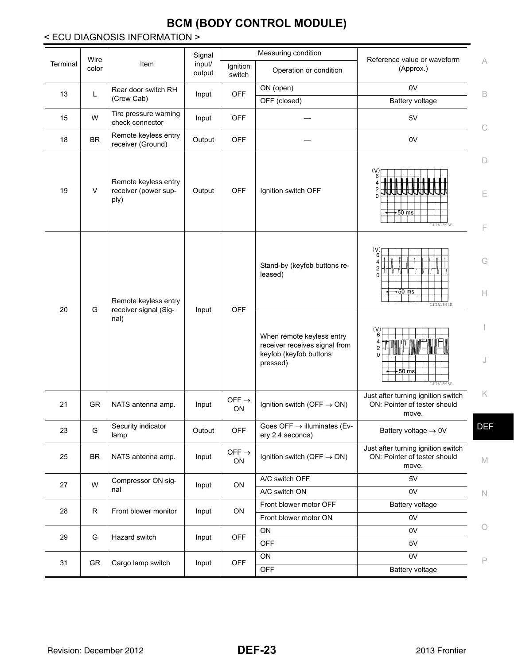### < ECU DIAGNOSIS INFORMATION >

|          |               |                                                      | Signal           |                         | Measuring condition                                                                              |                                                                                  |
|----------|---------------|------------------------------------------------------|------------------|-------------------------|--------------------------------------------------------------------------------------------------|----------------------------------------------------------------------------------|
| Terminal | Wire<br>color | Item                                                 | input/<br>output | Ignition<br>switch      | Operation or condition                                                                           | Reference value or waveform<br>A<br>(Approx.)                                    |
|          |               | Rear door switch RH                                  |                  |                         | ON (open)                                                                                        | 0V                                                                               |
| 13       | L             | (Crew Cab)                                           | Input            | <b>OFF</b>              | OFF (closed)                                                                                     | B<br><b>Battery voltage</b>                                                      |
| 15       | W             | Tire pressure warning<br>check connector             | Input            | <b>OFF</b>              |                                                                                                  | 5V<br>С                                                                          |
| 18       | <b>BR</b>     | Remote keyless entry<br>receiver (Ground)            | Output           | <b>OFF</b>              |                                                                                                  | 0V                                                                               |
| 19       | $\vee$        | Remote keyless entry<br>receiver (power sup-<br>ply) | Output           | <b>OFF</b>              | Ignition switch OFF                                                                              | D<br>E<br>—i50 msl<br>LIIA1893E<br>F                                             |
| 20       | G             | Remote keyless entry<br>receiver signal (Sig-        | Input            | <b>OFF</b>              | Stand-by (keyfob buttons re-<br>leased)                                                          | (V)<br>G<br>2<br>O<br>+50 ms<br>H.<br>LIIA1894E                                  |
|          |               | nal)                                                 |                  |                         | When remote keyless entry<br>receiver receives signal from<br>keyfob (keyfob buttons<br>pressed) | $V_6$<br>$\overline{\mathbf{c}}$<br>$\Omega$<br>J<br>+50 ms<br>LIIA1895E         |
| 21       | <b>GR</b>     | NATS antenna amp.                                    | Input            | OFF $\rightarrow$<br>ON | Ignition switch (OFF $\rightarrow$ ON)                                                           | Κ<br>Just after turning ignition switch<br>ON: Pointer of tester should<br>move. |
| 23       | ${\mathsf G}$ | Security indicator<br>lamp                           | Output           | <b>OFF</b>              | Goes OFF $\rightarrow$ illuminates (Ev-<br>ery 2.4 seconds)                                      | DEF<br>Battery voltage $\rightarrow$ 0V                                          |
| 25       | <b>BR</b>     | NATS antenna amp.                                    | Input            | OFF $\rightarrow$<br>ON | Ignition switch (OFF $\rightarrow$ ON)                                                           | Just after turning ignition switch<br>ON: Pointer of tester should<br>M<br>move. |
| 27       | W             | Compressor ON sig-                                   | Input            | ON                      | A/C switch OFF                                                                                   | 5V                                                                               |
|          |               | nal                                                  |                  |                         | A/C switch ON                                                                                    | 0V<br>N                                                                          |
| 28       | ${\sf R}$     | Front blower monitor                                 | Input            | ON                      | Front blower motor OFF                                                                           | Battery voltage                                                                  |
|          |               |                                                      |                  |                         | Front blower motor ON                                                                            | 0V                                                                               |
| 29       | G             | Hazard switch                                        | Input            | <b>OFF</b>              | ON                                                                                               | $\bigcirc$<br>0V                                                                 |
|          |               |                                                      |                  |                         | <b>OFF</b>                                                                                       | 5V                                                                               |
| 31       | GR            | Cargo lamp switch                                    | Input            | <b>OFF</b>              | ON                                                                                               | 0V<br>P                                                                          |
|          |               |                                                      |                  |                         | OFF                                                                                              | Battery voltage                                                                  |

Revision: December 2012 **DEF-23** 2013 Frontier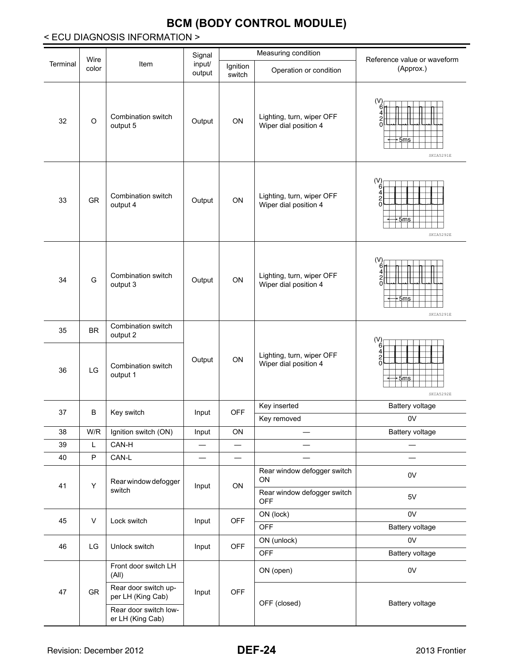### < ECU DIAGNOSIS INFORMATION >

|          |               |                                           | Signal           |                    | Measuring condition                                |                                                                   |
|----------|---------------|-------------------------------------------|------------------|--------------------|----------------------------------------------------|-------------------------------------------------------------------|
| Terminal | Wire<br>color | Item                                      | input/<br>output | Ignition<br>switch | Operation or condition                             | Reference value or waveform<br>(Approx.)                          |
| 32       | $\circ$       | Combination switch<br>output 5            | Output           | ON                 | Lighting, turn, wiper OFF<br>Wiper dial position 4 | (V<br>∗5ms<br>SKIA5291E                                           |
| 33       | GR            | Combination switch<br>output 4            | Output           | ON                 | Lighting, turn, wiper OFF<br>Wiper dial position 4 | (V)<br>6<br>4<br>$\overline{c}$<br>$\Omega$<br>∙5ms<br>SKIA5292E  |
| 34       | G             | Combination switch<br>output 3            | Output           | ON                 | Lighting, turn, wiper OFF<br>Wiper dial position 4 | (V<br>5ms<br>SKIA5291E                                            |
| 35       | <b>BR</b>     | Combination switch<br>output 2            |                  |                    |                                                    |                                                                   |
| 36       | LG            | Combination switch<br>output 1            | Output           | ON                 | Lighting, turn, wiper OFF<br>Wiper dial position 4 | (V)<br>6<br>$\frac{4}{2}$<br>$\Omega$<br><u>+5ms</u><br>SKIA5292E |
| 37       | B             | Key switch                                | Input            | <b>OFF</b>         | Key inserted<br>Key removed                        | <b>Battery voltage</b><br>0V                                      |
| 38       | W/R           | Ignition switch (ON)                      | Input            | ON                 |                                                    | Battery voltage                                                   |
| 39       | L             | CAN-H                                     |                  |                    |                                                    |                                                                   |
| 40       | $\mathsf{P}$  | CAN-L                                     | —                | —                  |                                                    |                                                                   |
|          |               | Rear window defogger                      |                  |                    | Rear window defogger switch<br>ON                  | 0V                                                                |
| 41       | Υ             | switch                                    | Input            | ON                 | Rear window defogger switch<br><b>OFF</b>          | 5V                                                                |
|          |               |                                           |                  |                    | ON (lock)                                          | 0V                                                                |
| 45       | V             | Lock switch                               | Input            | OFF                | <b>OFF</b>                                         | <b>Battery voltage</b>                                            |
| 46       | LG            | Unlock switch                             | Input            | OFF                | ON (unlock)<br><b>OFF</b>                          | 0V<br><b>Battery voltage</b>                                      |
|          |               | Front door switch LH<br>(AII)             |                  |                    | ON (open)                                          | 0V                                                                |
| 47       | GR            | Rear door switch up-<br>per LH (King Cab) | Input            | <b>OFF</b>         | OFF (closed)                                       | Battery voltage                                                   |
|          |               | Rear door switch low-<br>er LH (King Cab) |                  |                    |                                                    |                                                                   |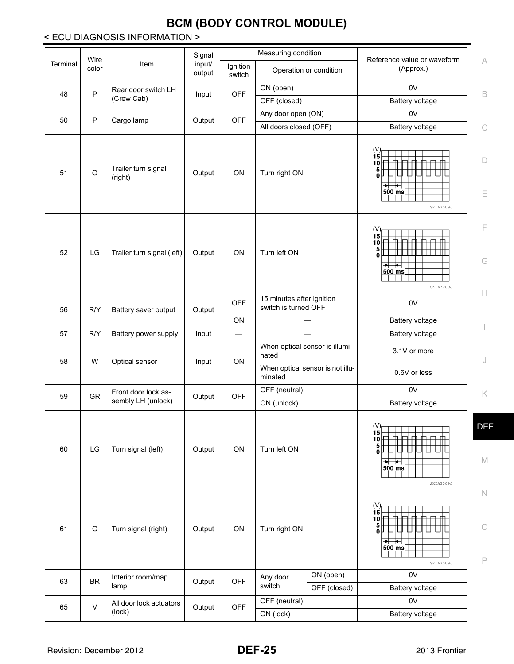### < ECU DIAGNOSIS INFORMATION >

|          | Wire                   |                                | Signal           |                    | Measuring condition                                |                                  | Reference value or waveform                                                                 |                           |
|----------|------------------------|--------------------------------|------------------|--------------------|----------------------------------------------------|----------------------------------|---------------------------------------------------------------------------------------------|---------------------------|
| Terminal | color                  | Item                           | input/<br>output | Ignition<br>switch |                                                    | Operation or condition           | (Approx.)                                                                                   | A                         |
| 48       | $\mathsf{P}$           | Rear door switch LH            | Input            | <b>OFF</b>         | ON (open)                                          |                                  | 0V                                                                                          | B                         |
|          |                        | (Crew Cab)                     |                  |                    | OFF (closed)                                       |                                  | Battery voltage                                                                             |                           |
|          |                        |                                |                  |                    | Any door open (ON)                                 |                                  | 0V                                                                                          |                           |
| 50       | $\mathsf{P}$           | Cargo lamp                     | Output           | <b>OFF</b>         | All doors closed (OFF)                             |                                  | Battery voltage                                                                             | C                         |
| 51       | $\circ$                | Trailer turn signal<br>(right) | Output           | ON                 | Turn right ON                                      |                                  | (V)<br>15<br>10<br>--------<br>$\Omega$<br>$\overline{\ast}$<br>500 ms<br>SKIA3009J         | D<br>E                    |
| 52       | LG                     | Trailer turn signal (left)     | Output           | ON                 | Turn left ON                                       |                                  | (V)<br>15<br>10<br>$\frac{5}{0}$<br>$\frac{}{\ast}$<br>500 ms<br>SKIA3009J                  | F<br>G                    |
| 56       | R/Y                    | Battery saver output           | Output           | <b>OFF</b>         | 15 minutes after ignition<br>switch is turned OFF  |                                  | 0V                                                                                          | H                         |
|          |                        |                                |                  | ON                 |                                                    |                                  | Battery voltage                                                                             |                           |
| 57       | R/Y                    | Battery power supply           | Input            |                    |                                                    |                                  | Battery voltage                                                                             |                           |
| 58       | W                      | Optical sensor                 | Input            | ON                 | When optical sensor is illumi-<br>nated<br>minated | When optical sensor is not illu- | 3.1V or more<br>0.6V or less                                                                | J                         |
|          |                        | Front door lock as-            |                  |                    | OFF (neutral)                                      |                                  | 0V                                                                                          |                           |
| 59       | <b>GR</b>              | sembly LH (unlock)             | Output           | <b>OFF</b>         | ON (unlock)                                        |                                  | Battery voltage                                                                             | Κ                         |
| 60       | $\mathsf{L}\mathsf{G}$ | Turn signal (left)             | Output           | ON                 | Turn left ON                                       |                                  | $\begin{array}{c} (V) \\ 15 \end{array}$<br>10<br>Ó<br>┱<br>$\bf{+}$<br>500 ms<br>SKIA3009J | <b>DEF</b><br>$\mathbb M$ |
| 61       | G                      | Turn signal (right)            | Output           | ON                 | Turn right ON                                      |                                  | $^{(V)}_{15}$<br>10<br>5<br><sup>0</sup><br>┱<br>╄┥<br>500 ms<br>SKIA3009J                  | N<br>$\bigcirc$<br>P      |
| 63       | <b>BR</b>              | Interior room/map<br>lamp      | Output           | <b>OFF</b>         | Any door<br>switch                                 | ON (open)<br>OFF (closed)        | 0V<br>Battery voltage                                                                       |                           |
|          |                        | All door lock actuators        |                  |                    | OFF (neutral)                                      |                                  | 0V                                                                                          |                           |
| 65       | $\mathsf V$            | (lock)                         | Output           | <b>OFF</b>         | ON (lock)                                          |                                  | Battery voltage                                                                             |                           |
|          |                        |                                |                  |                    |                                                    |                                  |                                                                                             |                           |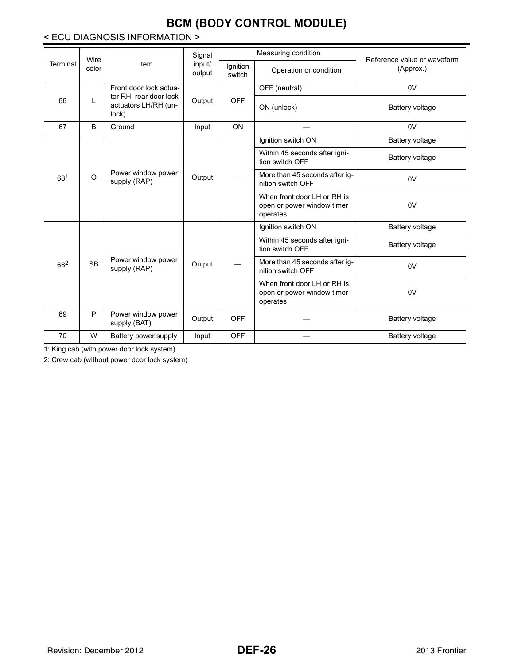### < ECU DIAGNOSIS INFORMATION >

|                 | Wire                                          |                                                         | Signal           |                                                     | Measuring condition                                                   | Reference value or waveform                         |    |
|-----------------|-----------------------------------------------|---------------------------------------------------------|------------------|-----------------------------------------------------|-----------------------------------------------------------------------|-----------------------------------------------------|----|
| Terminal        | color                                         | Item                                                    | input/<br>output | Ignition<br>switch                                  | Operation or condition                                                | (Approx.)                                           |    |
|                 |                                               | Front door lock actua-                                  |                  |                                                     | OFF (neutral)                                                         | 0V                                                  |    |
| 66              | L                                             | tor RH, rear door lock<br>actuators LH/RH (un-<br>lock) | Output           | <b>OFF</b>                                          | ON (unlock)                                                           | Battery voltage                                     |    |
| 67              | B                                             | Ground                                                  | Input            | ON                                                  |                                                                       | 0V                                                  |    |
|                 |                                               |                                                         |                  |                                                     | Ignition switch ON                                                    | <b>Battery voltage</b>                              |    |
|                 |                                               |                                                         |                  |                                                     | Within 45 seconds after igni-<br>tion switch OFF                      | Battery voltage                                     |    |
| 68 <sup>1</sup> | Power window power<br>$\circ$<br>supply (RAP) | Output                                                  |                  | More than 45 seconds after ig-<br>nition switch OFF | 0V                                                                    |                                                     |    |
|                 |                                               |                                                         |                  |                                                     | When front door LH or RH is<br>open or power window timer<br>operates | 0V                                                  |    |
|                 |                                               |                                                         |                  |                                                     | Ignition switch ON                                                    | <b>Battery voltage</b>                              |    |
|                 |                                               |                                                         |                  |                                                     | Within 45 seconds after igni-<br>tion switch OFF                      | Battery voltage                                     |    |
| $68^{2}$        | <b>SB</b>                                     | Power window power<br>supply (RAP)                      | Output           |                                                     |                                                                       | More than 45 seconds after ig-<br>nition switch OFF | 0V |
|                 |                                               |                                                         |                  |                                                     | When front door LH or RH is<br>open or power window timer<br>operates | 0V                                                  |    |
| 69              | P                                             | Power window power<br>supply (BAT)                      | Output           | <b>OFF</b>                                          |                                                                       | <b>Battery voltage</b>                              |    |
| 70              | W                                             | Battery power supply                                    | Input            | <b>OFF</b>                                          |                                                                       | Battery voltage                                     |    |

1: King cab (with power door lock system)

2: Crew cab (without power door lock system)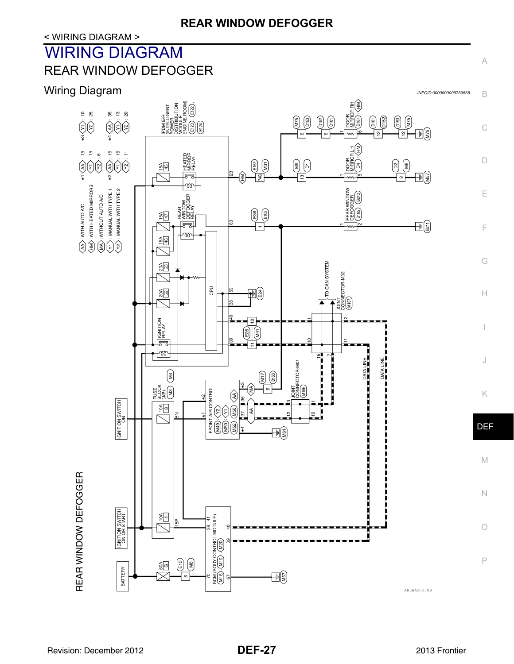## <span id="page-26-1"></span><span id="page-26-0"></span>WIRING DIAGRAM REAR WINDOW DEFOGGER

## <span id="page-26-2"></span>**Wiring Diagram** *INFOID:000000008789568*



A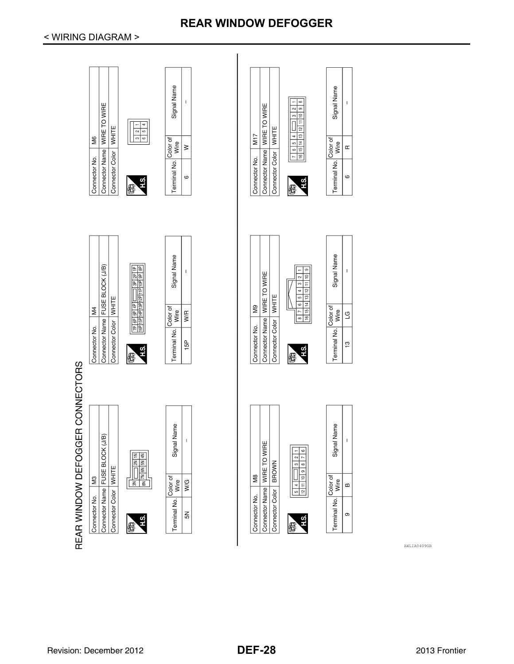#### < WIRING DIAGRAM >



AWLIA0409GB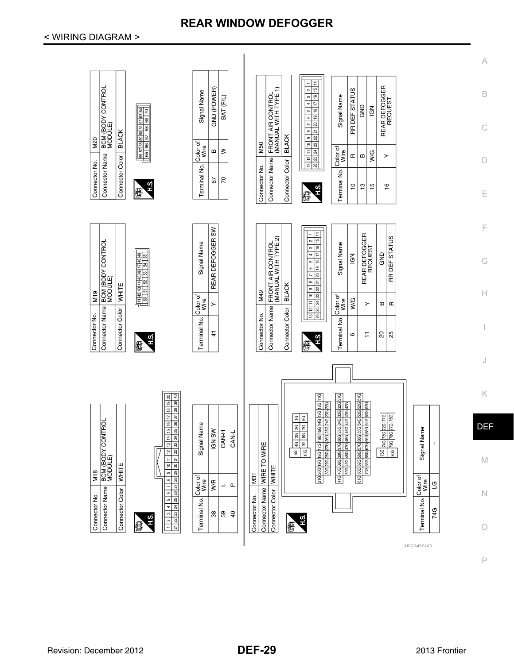| ਰ<br><b>BCM (BODY CONTR</b><br>MODULE)<br>WHITE<br>M18<br>Connector Name<br>Connector Color<br>Connector No.                                                                                                                                                                                                                                                                                                                                                                                                                                                                     | Connector Color   WHITE<br>Connector Name<br>Connector No.                                                                                      | BCM (BODY CONTROL<br>MODULE)<br>M <sub>19</sub>                                                                                                                                                                                                                                                                                                                                                                                                                                                            | Connector No.                                                                                                                            | <b>M20</b><br>Connector Color<br>Connector Name                                                                                                                                      | BCM (BODY CONTROL<br>MODULE)<br><b>BLACK</b>                                                                                                                                                                                                                                                                     |   |
|----------------------------------------------------------------------------------------------------------------------------------------------------------------------------------------------------------------------------------------------------------------------------------------------------------------------------------------------------------------------------------------------------------------------------------------------------------------------------------------------------------------------------------------------------------------------------------|-------------------------------------------------------------------------------------------------------------------------------------------------|------------------------------------------------------------------------------------------------------------------------------------------------------------------------------------------------------------------------------------------------------------------------------------------------------------------------------------------------------------------------------------------------------------------------------------------------------------------------------------------------------------|------------------------------------------------------------------------------------------------------------------------------------------|--------------------------------------------------------------------------------------------------------------------------------------------------------------------------------------|------------------------------------------------------------------------------------------------------------------------------------------------------------------------------------------------------------------------------------------------------------------------------------------------------------------|---|
| $\begin{array}{ c c c c c }\n\hline\n16 & 17 & 18 & 19 & 20 \\ \hline\n36 & 37 & 38 & 39 & 40\n\end{array}$<br>13 14 15<br>$ 33 $ 34 $ 35 $<br>31 32<br>$\tilde{c}$<br>$\overline{E}$<br>$\tilde{a}$<br>28 29 30<br>Ő<br>$\infty$<br>21 22 23 24 25 26 27<br>$\circ$<br>5<br>$\ddot{\phantom{0}}$<br>$\overline{\phantom{0}}$<br>Ω<br>Η<br>$\overline{a}$<br>倨<br>Ξ                                                                                                                                                                                                              | H.S.<br>信                                                                                                                                       | <u>  41  42  43  45  46  47  48  49 </u><br>   50    51    52    53    54    55                                                                                                                                                                                                                                                                                                                                                                                                                            | EHS.<br>倨                                                                                                                                |                                                                                                                                                                                      |                                                                                                                                                                                                                                                                                                                  |   |
| $\overline{\mathbf{Q}}$<br>Signal Nam<br>IGN SW<br>CAN-H<br>CAN-L<br>Color of<br>Wire<br>W/R<br>$\mathbf{a}$<br>┙<br>Terminal No.<br>$_{38}$<br>$\overline{40}$<br>$_{39}$                                                                                                                                                                                                                                                                                                                                                                                                       | Terminal No.<br>$\frac{1}{4}$                                                                                                                   | REAR DEFOGGER SW<br>Signal Name<br>Color of<br>≻                                                                                                                                                                                                                                                                                                                                                                                                                                                           | Terminal No.<br>$\overline{2}$<br>67                                                                                                     | Color of<br>≥<br>m                                                                                                                                                                   | GND (POWER)<br>Signal Name<br>BAT (F/L)                                                                                                                                                                                                                                                                          |   |
| 540 530 520 510<br>z1G 20G   19G   18G   17G   16G   14G   13G   12G   11G <br>  30G   29G   28G   27G   26G   26G   24G   22G   22G<br>a 34G 33G 32G 31G<br>a 44G 43G 42G<br>64G 63G 62G<br>75G 74G 73G 72G 71G<br>80G 79G 78G 77G 76G<br>5G 4G 3G 2G 1G<br>10G 9G 8G 7G 6G<br>41G 40G 39G 38G 37G 36G 35G<br>50G 49G 48G 47G 46G 45G<br>61G 60G 59G 58G 57G 56G 55G<br>70G 69G 68G 67G 66G 65G<br>Signal Name<br>Connector Name WIRE TO WIRE<br>WHITE<br>M <sub>31</sub><br>Color of<br>Wire<br><u>و</u><br>Connector Color<br>Connector No.<br>Terminal No.<br>74G<br>ЗH<br>倨 | Connector Name<br>Connector Color<br>Connector No.<br>$\overline{12}$<br>$26\,$<br>Terminal No.<br>$\rm ^{2}$<br>25<br>Η<br>6<br><u>GH</u><br>倨 | REAR DEFOGGER<br>REQUEST<br>RR DEF STATUS<br>FRONT AIR CONTROL<br>(MANUAL WITH TYPE 2)<br>$\overline{\mathbf{c}}$<br> 15<br>Signal Name<br>$\overline{z}$<br>$\overline{\mathbf{e}}$<br>$\overline{a}$<br>GND<br>H<br>ΘŃ<br>LO.<br>$\overset{\circ}{=}$<br>$\circ$<br>$\overline{\mathbf{e}}$<br>$\begin{array}{ c c c c c c c c } \hline 1 & 12 & 10 & 9 & 8 & 7 & 6 \\ \hline 1 & 25 & 24 & 23 & 22 & 21 & 20 & 1 \\ \hline \end{array}$<br><b>BLACK</b><br>M49<br>Color of<br>Wire<br>WG<br>m<br>Œ<br>≻ | Connector Color<br>Connector No.<br>Terminal No.<br>$\frac{1}{2}$<br>$\frac{15}{2}$<br>$\tilde{=}$<br>$\frac{6}{5}$<br>ЭH,<br>倨<br>$\Xi$ | $\frac{13}{26}\left \frac{12}{24}\right \frac{10}{23}\left \frac{9}{22}\right \frac{8}{21}$<br><b>BLACK</b><br><b>M50</b><br>Color of<br>WG<br>$\boldsymbol{\omega}$<br>Œ<br>$\succ$ | $ \frac{4}{7}$<br>REAR DEFOGGER<br>REQUEST<br>61<br>Connector Name FRONT AIR CONTROL<br>(MANUAL WITH TYPE 1)<br>RR DEF STATUS<br>$\sim$<br>16<br>Signal Name<br>$\infty$<br>$\overline{+}$<br>E<br>GND<br>ΘŃ<br>$\frac{1}{2}$<br>ю<br>$\overline{\bullet}$<br>$\frac{19}{2}$<br>$\frac{20}{3}$<br>$\overline{r}$ |   |
| K<br><b>DEF</b><br>M<br>$\mathbb N$<br>$\bigcirc$                                                                                                                                                                                                                                                                                                                                                                                                                                                                                                                                | J                                                                                                                                               | G<br>$\mathbb H$                                                                                                                                                                                                                                                                                                                                                                                                                                                                                           | E<br>F                                                                                                                                   | $\Box$                                                                                                                                                                               | B<br>С                                                                                                                                                                                                                                                                                                           | A |

Revision: December 2012 **DEF-29** 2013 Frontier

< WIRING DIAGRAM >

ABLIA4524GB

P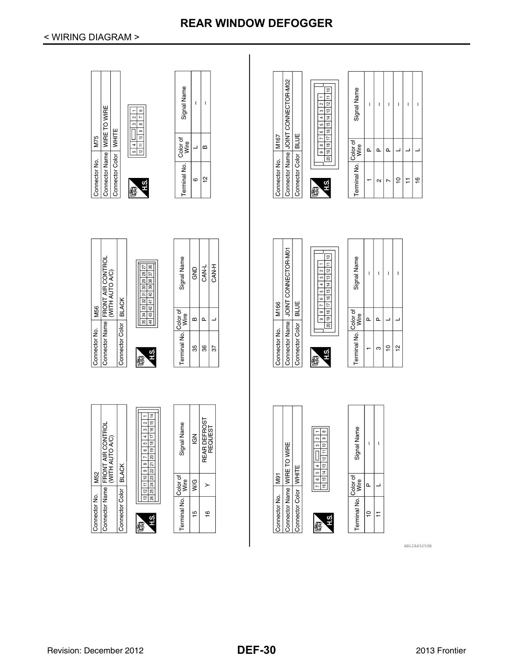## < WIRING DIAGRAM >





| Connector Name   FRONT AIR CONTROL<br>  (WITH AUTO A/C)<br>Connector Color |                                                              | <b>BLACK</b> |  |                         |  |
|----------------------------------------------------------------------------|--------------------------------------------------------------|--------------|--|-------------------------|--|
| vi<br>H<br>厚                                                               | 35   34   33   32   31   30   29   28   27<br>$\overline{4}$ |              |  | 43 42 41 40 39 38 37 36 |  |
|                                                                            | .<br>-<br>-                                                  |              |  |                         |  |

 $\frac{1}{\sqrt{25}}$ 

Connector No.

| Signal Name                                | GND | CAN-L | <b>H-N-H</b> |
|--------------------------------------------|-----|-------|--------------|
|                                            | m   |       |              |
| Terminal No. Color of<br>Terminal No. Wire | ధ్య | 86    | 57           |

| M52           | Connector Name   FRONT AIR CONTROL<br>(WITH AUTO A/C) |                         |  |
|---------------|-------------------------------------------------------|-------------------------|--|
| Connector No. |                                                       | Connector Color   BLACK |  |



| Signal Name                        | $\leq$        | REAR DEFROST<br>REQUEST |  |
|------------------------------------|---------------|-------------------------|--|
|                                    | $\frac{6}{2}$ |                         |  |
| ierminal No. Color of <sup>1</sup> | 10            | ڢ                       |  |



Connector Color WHITE

Connector No. M91



| Signal Name            | I | I |  |
|------------------------|---|---|--|
|                        |   |   |  |
| rerminal No. Color of' |   |   |  |

ABLIA4525GB

| Signal Name           | Ī |        | ı |             |  |
|-----------------------|---|--------|---|-------------|--|
|                       | Q | Ó      | Δ |             |  |
| Terminal No. Color of |   | $\sim$ |   | $\tilde{=}$ |  |

 $\mathbf{I}$ 

 $\overline{\phantom{0}}$ 

 $\overset{\circ}{\mathbf{e}}$ 



Connector Name JOINT CONNECTOR-M02

Connector No. M167

Connector Color BLUE

∣≘ ╔

 $\begin{array}{|c|c|c|c|c|c|c|c|} \hline 9 & 8 & 7 & 6 & 5 & 4 & 3 & 2 \\ \hline 19 & 18 & 17 & 16 & 15 & 14 & 13 & 12 \\ \hline \end{array}$ 

<u>ৱি</u>

**FH.S.** 

僵

| Signal Name           | ı |          | ı           |               |
|-----------------------|---|----------|-------------|---------------|
|                       | ۵ | $\alpha$ |             |               |
| Terminal No. Color of |   | ო        | $\tilde{a}$ | $\frac{1}{2}$ |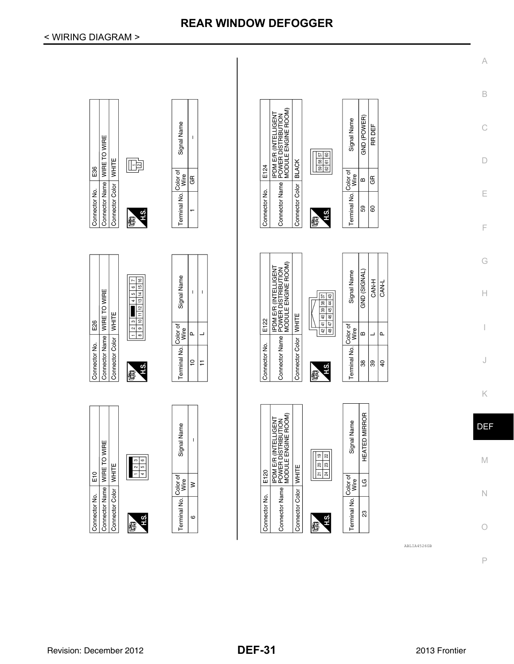#### B **IPDM E/R (INTELLIGENT<br>POWER DISTRIBUTION<br>MODULE ENGINE ROOM)** GND (POWER) Signal Name Signal Name RR DEF C  $\overline{1}$ WIRE TO WIRE  $\begin{array}{|c|c|} \hline 59 & 58 & 57 \\ \hline 62 & 61 & 60 \\ \hline \end{array}$ WHITE D  $\mathbb{F}$ **BLACK** E124 E36 Color of Color of GR GR ∞ Connector Name Connector Color Connector Name Connector Color Connector No. Connector No. E Terminal No. Terminal No. 59  $\mbox{60}$ F<sub>15</sub> HI<sub>S</sub> 傉 倨 G IPDM E/R (INTELLIGENT<br>POWER DISTRIBUTION<br>MODULE ENGINE ROOM) GND (SIGNAL) Signal Name Signal Name CAN-H  $\vert$  6 CAN-L  $\frac{6}{15}$ Connector Name WIRE TO WIRE  $\bar{\mathbf{I}}$  $\overline{1}$ 42 41 40 39 38 37<br>48 47 46 45 44 43 H  $\begin{array}{|c|c|c|c|c|c|c|} \hline & 2 & 3 & 4 & 5 \\ \hline 8 & 9 & 10 & 11 & 12 & 13 & 14 \\ \hline \end{array}$ Connector Color | WHITE WHITE E122 **E26** Color of Color of m o. L,  $\mathbf{L}$  $\mathbf{a}$ Connector Name Connector Color Connector No. Connector No. Terminal No. Terminal No.  $\vert$  0 ΙĖ  $38\,$ |္က  $\overline{a}$ **FHS. FH.S.** 医 信 K IPDM E/R (INTELLIGENT<br>POWER DISTRIBUTION<br>MODULE ENGINE ROOM) **HEATED MIRROR** Signal Name Signal Name DEF  $\mathbf I$ Connector Name WIRE TO WIRE  $\begin{array}{|c|c|c|}\hline 21 & 20 & 19 \\ \hline 24 & 23 & 22 \\ \hline \end{array}$  $\begin{array}{|c|c|c|}\n\hline\n1 & 2 & 3 \\
4 & 5 & 6\n\end{array}$ M Connector Color WHITE WHITE E120  $E10$ Color of<br>Wire Color of  $\overline{c}$  $\geq$ Connector Name Connector Color N Connector No. Connector No. Terminal No. Terminal No.  $\mathbb S$ **FH.S.**  $\circ$ **FHS.** 偱 偱 O

< WIRING DIAGRAM >

Revision: December 2012 **DEF-31** 2013 Frontier

ABLIA4526GB

F

A

I

J

P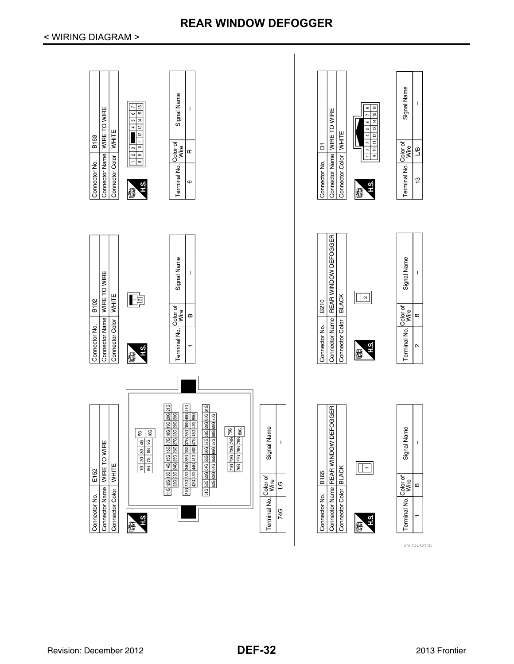

#### < WIRING DIAGRAM >

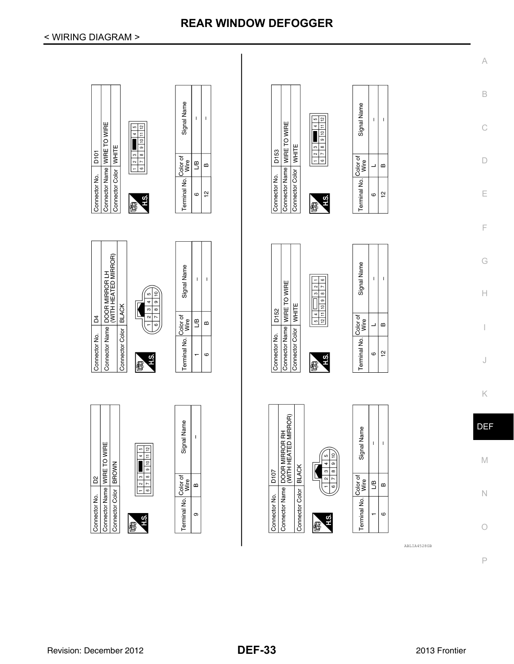#### Signal Name Signal Name  $\mathbf{I}$  $\mathbf{I}$  $\begin{array}{|c|c|c|c|c|c|c|c|} \hline 1 & 2 & 3 & \text{mm} & 4 & 5 \\ \hline 6 & 7 & 8 & 9 & 10 & 11 & 12 \\ \hline \end{array}$  $\bar{\Gamma}$  $\bar{1}$  $\begin{array}{|c|c|c|c|c|c|}\n\hline\n1 & 2 & 3 & 4 & 5 \\
\hline\n6 & 7 & 8 & 9 & 10 & 11 & 12\n\end{array}$ Connector Name WIRE TO WIRE Connector Name WIRE TO WIRE Connector Color WHITE Connector Color | WHITE **D153 D101** Color of Terminal No. Color of දු  $\boldsymbol{\omega}$  $\pmb{\mathsf{m}}$ ┙ Connector No. Connector No. Terminal No.  $\frac{1}{2}$  $\tilde{a}$  $\circ$  $\circ$ fils. **/H.S.** le 医 DOOR MIRROR LH<br>(WITH HEATED MIRROR) Signal Name Signal Name  $\mathbf{I}$  $\overline{1}$  $\begin{array}{|c|c|c|c|c|c|}\hline 5 & 4 & \text{---} & 3 & 2 & 1 \\ \hline 12 & 11 & 10 & 9 & 8 & 7 & 6 \\ \hline \end{array}$  $\mathbf{I}$  $\mathbf I$ Connector Name WIRE TO WIRE ່ທ  $\epsilon$ Connector Color WHITE **BLACK** D<sub>152</sub> Color of<br>Wire Color of |동  $\overline{\mathbb{S}}$  $\omega$  $\boldsymbol{\underline{\omega}}$  $\overline{\phantom{0}}$ Connector Name Connector Color Connector No. Connector No. Terminal No. Terminal No.  $\tilde{a}$  $\circ$  $\circ$ ÷ **FH.S.**  $7+5$ 医 傉 Connector Name DOOR MIRROR RH<br>(WITH HEATED MIRROR) Signal Name Signal Name  $\overline{1}$  $\bar{\rm I}$  $\mathbf I$ Connector Name WIRE TO WIRE  $\begin{array}{|c|c|c|c|c|}\n\hline\n1 & 2 & 3 & \hline\n6 & 7 & 8 & 9 & 10 & 11 & 12 \\
\hline\n\end{array}$ .<br>မာ  $\begin{array}{|c|c|c|c|}\hline 7 & 8 & 9 & 10 \ \hline \end{array}$ Connector Color BROWN  $\overline{a}$ **BLACK LOLO**  $\overline{\phantom{0}}$ Color of Color of<br>Wire  $\overline{a}$  $\sim$  $\overline{\mathbb{S}}$  $\omega$  $\pmb{\mathsf{m}}$ 6 Connector Color Connector No. Connector No. Terminal No. Terminal No.  $\circ$  $\circ$  $\overline{ }$ H<sub>IS</sub>

ABLIA4528GB

P

O

C

A

B

D

E

F

G

 $\mathbb H$ 

I

J

K

DEF

M

N

信

**FH.S.** 僵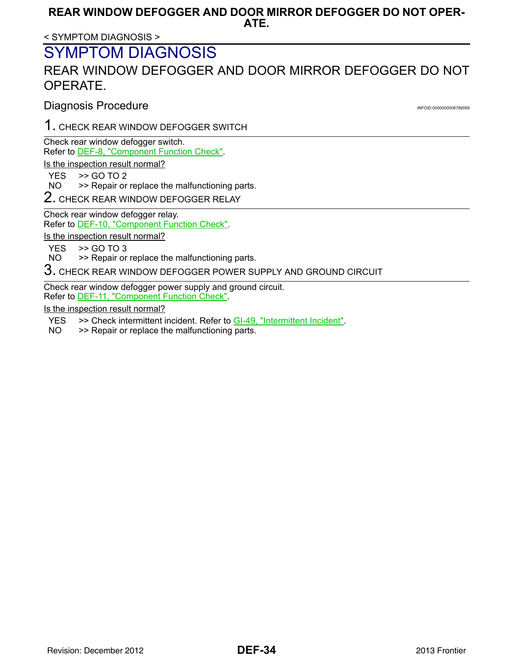### **REAR WINDOW DEFOGGER AND DOOR MIRROR DEFOGGER DO NOT OPER-ATE.**

< SYMPTOM DIAGNOSIS >

## <span id="page-33-0"></span>SYMPTOM DIAGNOSIS

## <span id="page-33-1"></span>REAR WINDOW DEFOGGER AND DOOR MIRROR DEFOGGER DO NOT OPERATE.

<span id="page-33-2"></span>Diagnosis Procedure *Diagnosis* Procedure

1. CHECK REAR WINDOW DEFOGGER SWITCH

Check rear window defogger switch. Refer to [DEF-8, "Component Function Check".](#page-7-3)

Is the inspection result normal?

 $YES$   $>>$  GO TO 2<br>NO  $>>$  Repair or

>> Repair or replace the malfunctioning parts.

2. CHECK REAR WINDOW DEFOGGER RELAY

Check rear window defogger relay.

Refer to [DEF-10, "Component Function Check"](#page-9-2).

Is the inspection result normal?

 $YES$   $>>$  GO TO 3<br>NO  $>>$  Repair or

>> Repair or replace the malfunctioning parts.

3. CHECK REAR WINDOW DEFOGGER POWER SUPPLY AND GROUND CIRCUIT

Check rear window defogger power supply and ground circuit. Refer to [DEF-11, "Component Function Check".](#page-10-2)

Is the inspection result normal?

- YES >> Check intermittent incident. Refer to GI-49, "Intermittent Incident".
- NO >> Repair or replace the malfunctioning parts.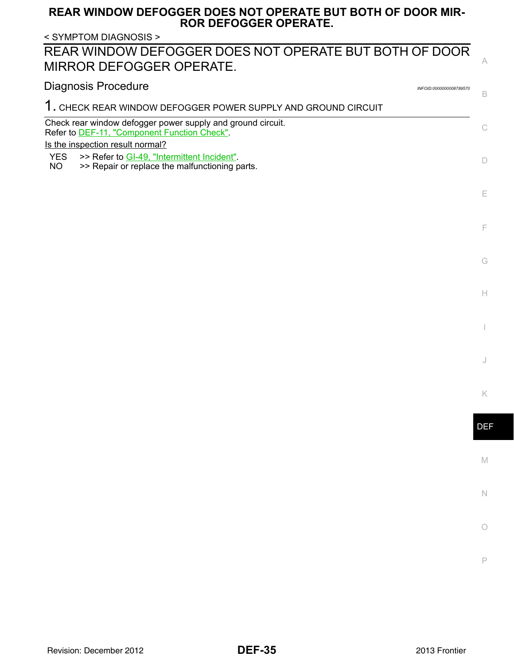### **REAR WINDOW DEFOGGER DOES NOT OPERATE BUT BOTH OF DOOR MIR-ROR DEFOGGER OPERATE.**

< SYMPTOM DIAGNOSIS >

## <span id="page-34-0"></span>REAR WINDOW DEFOGGER DOES NOT OPERATE BUT BOTH OF DOOR MIRROR DEFOGGER OPERATE.

<span id="page-34-1"></span>

| <b>Diagnosis Procedure</b>                                                                                                                      | INFOID:0000000008789570 | B           |
|-------------------------------------------------------------------------------------------------------------------------------------------------|-------------------------|-------------|
| 1. CHECK REAR WINDOW DEFOGGER POWER SUPPLY AND GROUND CIRCUIT                                                                                   |                         |             |
| Check rear window defogger power supply and ground circuit.<br>Refer to DEF-11. "Component Function Check".<br>Is the inspection result normal? |                         | $\mathbb C$ |
| <b>YES</b><br>>> Refer to GI-49, "Intermittent Incident".<br>>> Repair or replace the malfunctioning parts.<br><b>NO</b>                        |                         | $\Box$      |
|                                                                                                                                                 |                         | E           |
|                                                                                                                                                 |                         | F           |
|                                                                                                                                                 |                         | G           |
|                                                                                                                                                 |                         | $\mathbb H$ |
|                                                                                                                                                 |                         |             |
|                                                                                                                                                 |                         | $\bigcup$   |
|                                                                                                                                                 |                         | K           |
|                                                                                                                                                 |                         | <b>DEF</b>  |
|                                                                                                                                                 |                         | $\mathbb M$ |
|                                                                                                                                                 |                         | $\mathbb N$ |
|                                                                                                                                                 |                         | $\bigcirc$  |
|                                                                                                                                                 |                         | $\mathsf P$ |
|                                                                                                                                                 |                         |             |

A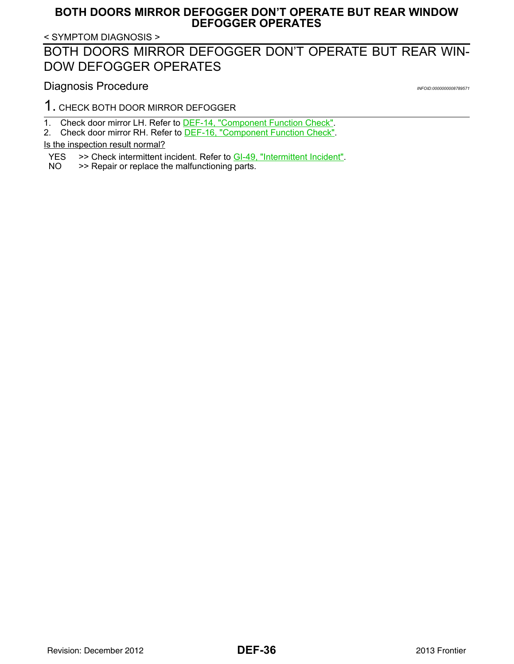### **BOTH DOORS MIRROR DEFOGGER DON'T OPERATE BUT REAR WINDOW DEFOGGER OPERATES**

< SYMPTOM DIAGNOSIS >

## <span id="page-35-0"></span>BOTH DOORS MIRROR DEFOGGER DON'T OPERATE BUT REAR WIN-DOW DEFOGGER OPERATES

<span id="page-35-1"></span>Diagnosis Procedure *Diagnosis* Procedure

1. CHECK BOTH DOOR MIRROR DEFOGGER

1. Check door mirror LH. Refer to [DEF-14, "Component Function Check"](#page-13-2).

2. Check door mirror RH. Refer to [DEF-16, "Component Function Check".](#page-15-2)

Is the inspection result normal?

YES >> Check intermittent incident. Refer to GI-49, "Intermittent Incident".

NO >> Repair or replace the malfunctioning parts.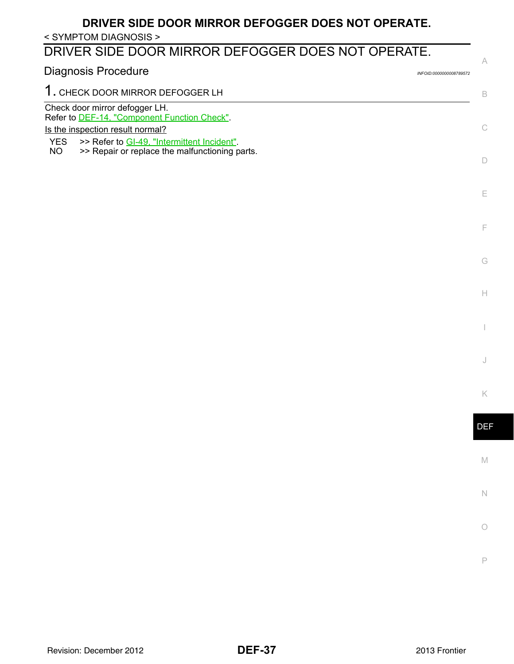## **DRIVER SIDE DOOR MIRROR DEFOGGER DOES NOT OPERATE.**

< SYMPTOM DIAGNOSIS >

## <span id="page-36-0"></span>DRIVER SIDE DOOR MIRROR DEFOGGER DOES NOT OPERATE.

<span id="page-36-1"></span>

| Diagnosis Procedure                                                                                                | INFOID:0000000008789572 |    |
|--------------------------------------------------------------------------------------------------------------------|-------------------------|----|
| 1. CHECK DOOR MIRROR DEFOGGER LH                                                                                   |                         | R  |
| Check door mirror defogger LH.<br>Refer to DEF-14, "Component Function Check".                                     |                         |    |
| Is the inspection result normal?                                                                                   |                         | C  |
| >> Refer to GI-49, "Intermittent Incident".<br><b>YES</b><br>>> Repair or replace the malfunctioning parts.<br>NO. |                         | I) |
|                                                                                                                    |                         | F  |

DEF

M

N

O

P

F

A

G

 $\mathbb H$ 

I

J

K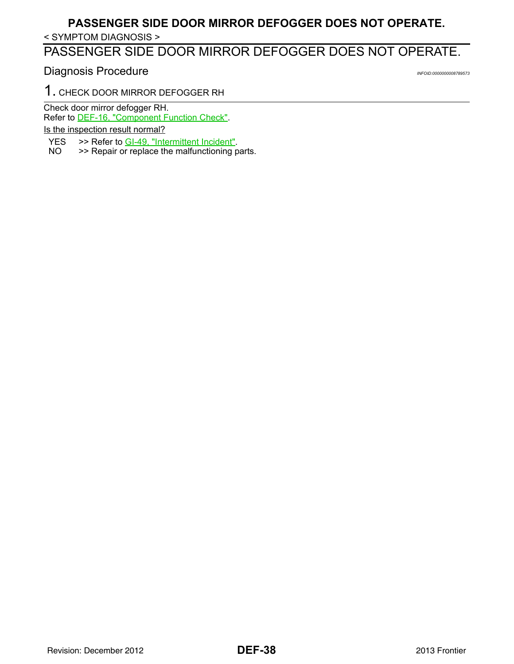## **PASSENGER SIDE DOOR MIRROR DEFOGGER DOES NOT OPERATE.**

< SYMPTOM DIAGNOSIS >

## <span id="page-37-0"></span>PASSENGER SIDE DOOR MIRROR DEFOGGER DOES NOT OPERATE.

<span id="page-37-1"></span>Diagnosis Procedure **Integral of the Contract Oriental Contract Oriental Contract Oriental INFOID:0000000008789573** 

1. CHECK DOOR MIRROR DEFOGGER RH

Check door mirror defogger RH.

Refer to **DEF-16, "Component Function Check"**.

Is the inspection result normal?

YES >> Refer to GI-49, "Intermittent Incident".

NO >> Repair or replace the malfunctioning parts.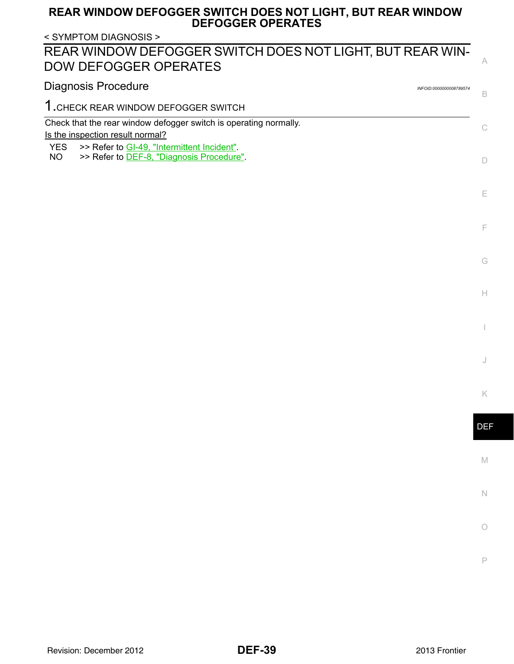### **REAR WINDOW DEFOGGER SWITCH DOES NOT LIGHT, BUT REAR WINDOW DEFOGGER OPERATES**

<span id="page-38-1"></span><span id="page-38-0"></span>

| < SYMPTOM DIAGNOSIS >                                                                     |    |
|-------------------------------------------------------------------------------------------|----|
| REAR WINDOW DEFOGGER SWITCH DOES NOT LIGHT, BUT REAR WIN-<br><b>DOW DEFOGGER OPERATES</b> |    |
| Diagnosis Procedure<br>INFOID:0000000008789574                                            | B  |
| 1. CHECK REAR WINDOW DEFOGGER SWITCH                                                      |    |
| Check that the rear window defogger switch is operating normally.                         | C. |
| Is the inspection result normal?                                                          |    |
| >> Refer to GI-49. "Intermittent Incident".<br>YES.                                       |    |
| >> Refer to DEF-8, "Diagnosis Procedure".<br>NO.                                          |    |
|                                                                                           |    |
|                                                                                           |    |

DEF

M

N

O

P

E

F

G

 $\mathbb H$ 

I

J

K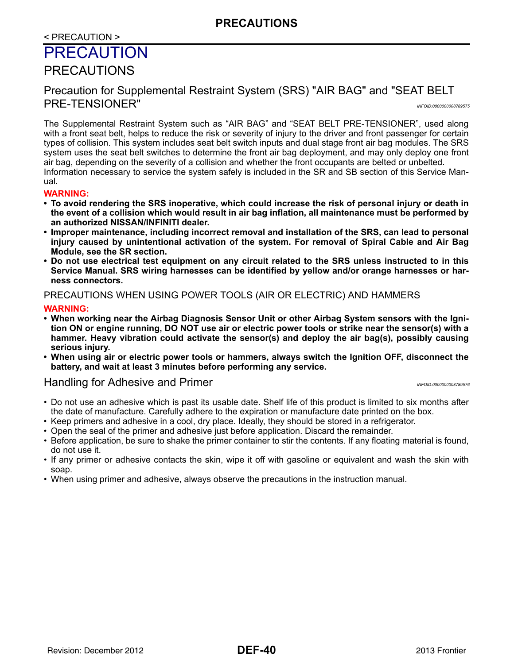### < PRECAUTION >

# <span id="page-39-0"></span>**PRECAUTION**

### <span id="page-39-1"></span>PRECAUTIONS

### <span id="page-39-2"></span>Precaution for Supplemental Restraint System (SRS) "AIR BAG" and "SEAT BELT PRE-TENSIONER" *INFOID:0000000008789575*

The Supplemental Restraint System such as "AIR BAG" and "SEAT BELT PRE-TENSIONER", used along with a front seat belt, helps to reduce the risk or severity of injury to the driver and front passenger for certain types of collision. This system includes seat belt switch inputs and dual stage front air bag modules. The SRS system uses the seat belt switches to determine the front air bag deployment, and may only deploy one front air bag, depending on the severity of a collision and whether the front occupants are belted or unbelted. Information necessary to service the system safely is included in the SR and SB section of this Service Man-

#### ual. **WARNING:**

- **To avoid rendering the SRS inoperative, which could increase the risk of personal injury or death in the event of a collision which would result in air bag inflation, all maintenance must be performed by an authorized NISSAN/INFINITI dealer.**
- **Improper maintenance, including incorrect removal and installation of the SRS, can lead to personal injury caused by unintentional activation of the system. For removal of Spiral Cable and Air Bag Module, see the SR section.**
- **Do not use electrical test equipment on any circuit related to the SRS unless instructed to in this Service Manual. SRS wiring harnesses can be identified by yellow and/or orange harnesses or harness connectors.**

#### PRECAUTIONS WHEN USING POWER TOOLS (AIR OR ELECTRIC) AND HAMMERS

#### **WARNING:**

- **When working near the Airbag Diagnosis Sensor Unit or other Airbag System sensors with the Ignition ON or engine running, DO NOT use air or electric power tools or strike near the sensor(s) with a hammer. Heavy vibration could activate the sensor(s) and deploy the air bag(s), possibly causing serious injury.**
- **When using air or electric power tools or hammers, always switch the Ignition OFF, disconnect the battery, and wait at least 3 minutes before performing any service.**

#### <span id="page-39-3"></span>Handling for Adhesive and Primer *Internal Company and The Information INFOID:000000008789576*

- Do not use an adhesive which is past its usable date. Shelf life of this product is limited to six months after the date of manufacture. Carefully adhere to the expiration or manufacture date printed on the box.
- Keep primers and adhesive in a cool, dry place. Ideally, they should be stored in a refrigerator.
- Open the seal of the primer and adhesive just before application. Discard the remainder.
- Before application, be sure to shake the primer container to stir the contents. If any floating material is found, do not use it.
- If any primer or adhesive contacts the skin, wipe it off with gasoline or equivalent and wash the skin with soap.
- When using primer and adhesive, always observe the precautions in the instruction manual.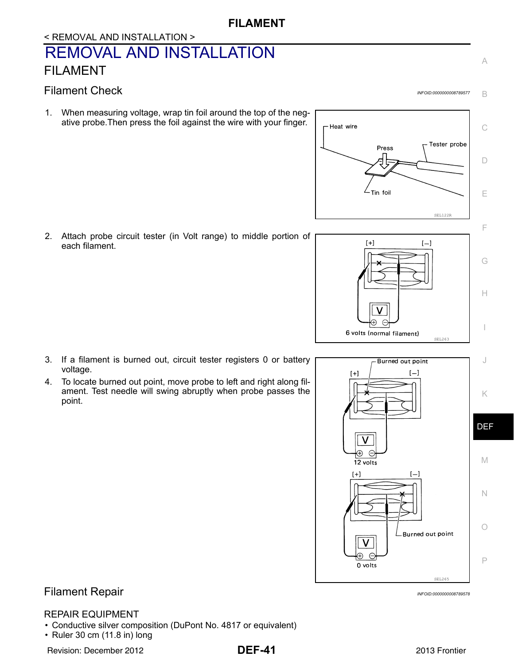## <span id="page-40-0"></span>< REMOVAL AND INSTALLATION > REMOVAL AND INSTALLATION FILAMENT

### <span id="page-40-2"></span><span id="page-40-1"></span>Filament Check *INFOID:0000000008789577*

1. When measuring voltage, wrap tin foil around the top of the negative probe.Then press the foil against the wire with your finger.

2. Attach probe circuit tester (in Volt range) to middle portion of each filament.

- 3. If a filament is burned out, circuit tester registers 0 or battery voltage.
- 4. To locate burned out point, move probe to left and right along filament. Test needle will swing abruptly when probe passes the point.

<span id="page-40-3"></span>

### REPAIR EQUIPMENT

- Conductive silver composition (DuPont No. 4817 or equivalent)
- Ruler 30 cm (11.8 in) long

Revision: December 2012 **DEF-41** 2013 Frontier

### **DEF-41**



Burned out point J  $I = 1$  $[+]$ K DEF  $\ominus$ Ð M 12 volts  $[-]$  $[+]$ N O -Burned out point P 0 volts

SEL265

 $[+]$  $[-]$  $\epsilon$ Ð 6 volts (normal filament) SEL263







A

B

F

G

H

I